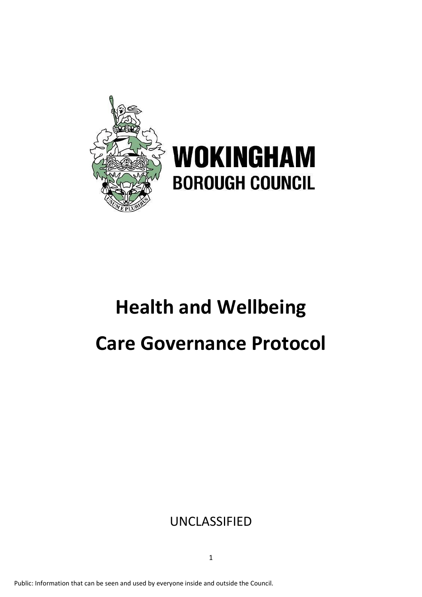

# **WOKINGHAM BOROUGH COUNCIL**

# **Health and Wellbeing Care Governance Protocol**

# UNCLASSIFIED

Public: Information that can be seen and used by everyone inside and outside the Council.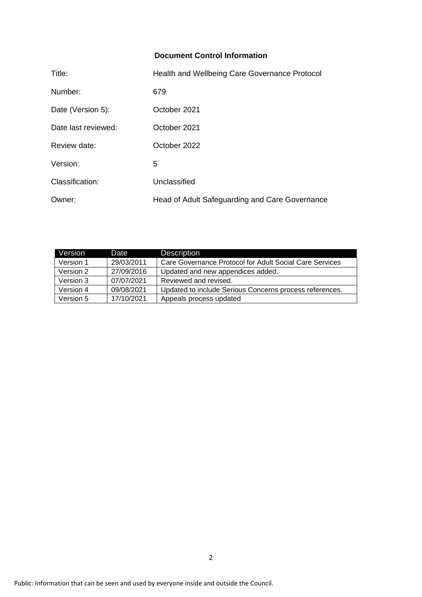## **Document Control Information**

| Title:              | Health and Wellbeing Care Governance Protocol  |
|---------------------|------------------------------------------------|
| Number:             | 679                                            |
| Date (Version 5):   | October 2021                                   |
| Date last reviewed: | October 2021                                   |
| Review date:        | October 2022                                   |
| Version:            | 5                                              |
| Classification:     | Unclassified                                   |
| Owner:              | Head of Adult Safeguarding and Care Governance |

| Version   | Date       | <b>Description</b>                                      |
|-----------|------------|---------------------------------------------------------|
| Version 1 | 29/03/2011 | Care Governance Protocol for Adult Social Care Services |
| Version 2 | 27/09/2016 | Updated and new appendices added.                       |
| Version 3 | 07/07/2021 | Reviewed and revised.                                   |
| Version 4 | 09/08/2021 | Updated to include Serious Concerns process references. |
| Version 5 | 17/10/2021 | Appeals process updated                                 |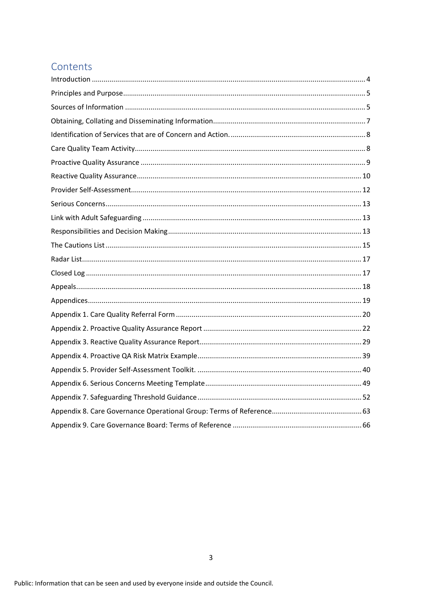# Contents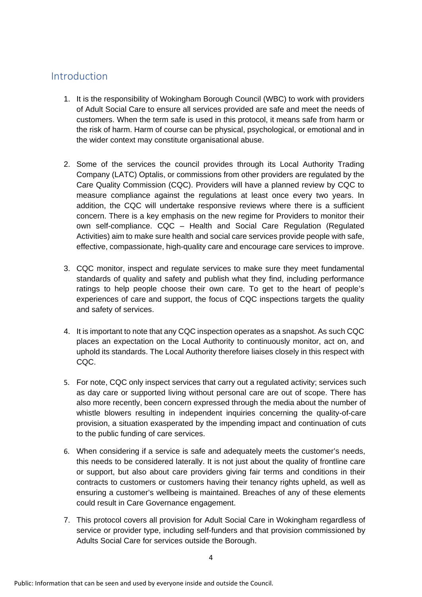## <span id="page-3-0"></span>Introduction

- 1. It is the responsibility of Wokingham Borough Council (WBC) to work with providers of Adult Social Care to ensure all services provided are safe and meet the needs of customers. When the term safe is used in this protocol, it means safe from harm or the risk of harm. Harm of course can be physical, psychological, or emotional and in the wider context may constitute organisational abuse.
- 2. Some of the services the council provides through its Local Authority Trading Company (LATC) Optalis, or commissions from other providers are regulated by the Care Quality Commission (CQC). Providers will have a planned review by CQC to measure compliance against the regulations at least once every two years. In addition, the CQC will undertake responsive reviews where there is a sufficient concern. There is a key emphasis on the new regime for Providers to monitor their own self-compliance. CQC – Health and Social Care Regulation (Regulated Activities) aim to make sure health and social care services provide people with safe, effective, compassionate, high-quality care and encourage care services to improve.
- 3. CQC monitor, inspect and regulate services to make sure they meet fundamental standards of quality and safety and publish what they find, including performance ratings to help people choose their own care. To get to the heart of people's experiences of care and support, the focus of CQC inspections targets the quality and safety of services.
- 4. It is important to note that any CQC inspection operates as a snapshot. As such CQC places an expectation on the Local Authority to continuously monitor, act on, and uphold its standards. The Local Authority therefore liaises closely in this respect with CQC.
- 5. For note, CQC only inspect services that carry out a regulated activity; services such as day care or supported living without personal care are out of scope. There has also more recently, been concern expressed through the media about the number of whistle blowers resulting in independent inquiries concerning the quality-of-care provision, a situation exasperated by the impending impact and continuation of cuts to the public funding of care services.
- 6. When considering if a service is safe and adequately meets the customer's needs, this needs to be considered laterally. It is not just about the quality of frontline care or support, but also about care providers giving fair terms and conditions in their contracts to customers or customers having their tenancy rights upheld, as well as ensuring a customer's wellbeing is maintained. Breaches of any of these elements could result in Care Governance engagement.
- 7. This protocol covers all provision for Adult Social Care in Wokingham regardless of service or provider type, including self-funders and that provision commissioned by Adults Social Care for services outside the Borough.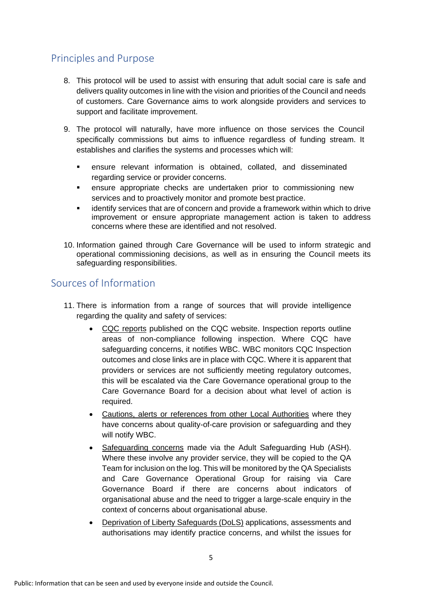# <span id="page-4-0"></span>Principles and Purpose

- 8. This protocol will be used to assist with ensuring that adult social care is safe and delivers quality outcomes in line with the vision and priorities of the Council and needs of customers. Care Governance aims to work alongside providers and services to support and facilitate improvement.
- 9. The protocol will naturally, have more influence on those services the Council specifically commissions but aims to influence regardless of funding stream. It establishes and clarifies the systems and processes which will:
	- ensure relevant information is obtained, collated, and disseminated regarding service or provider concerns.
	- ensure appropriate checks are undertaken prior to commissioning new services and to proactively monitor and promote best practice.
	- identify services that are of concern and provide a framework within which to drive improvement or ensure appropriate management action is taken to address concerns where these are identified and not resolved.
- 10. Information gained through Care Governance will be used to inform strategic and operational commissioning decisions, as well as in ensuring the Council meets its safeguarding responsibilities.

## <span id="page-4-1"></span>Sources of Information

- 11. There is information from a range of sources that will provide intelligence regarding the quality and safety of services:
	- CQC reports published on the CQC website. Inspection reports outline areas of non-compliance following inspection. Where CQC have safeguarding concerns, it notifies WBC. WBC monitors CQC Inspection outcomes and close links are in place with CQC. Where it is apparent that providers or services are not sufficiently meeting regulatory outcomes, this will be escalated via the Care Governance operational group to the Care Governance Board for a decision about what level of action is required.
	- Cautions, alerts or references from other Local Authorities where they have concerns about quality-of-care provision or safeguarding and they will notify WBC.
	- Safeguarding concerns made via the Adult Safeguarding Hub (ASH). Where these involve any provider service, they will be copied to the QA Team for inclusion on the log. This will be monitored by the QA Specialists and Care Governance Operational Group for raising via Care Governance Board if there are concerns about indicators of organisational abuse and the need to trigger a large-scale enquiry in the context of concerns about organisational abuse.
	- Deprivation of Liberty Safeguards (DoLS) applications, assessments and authorisations may identify practice concerns, and whilst the issues for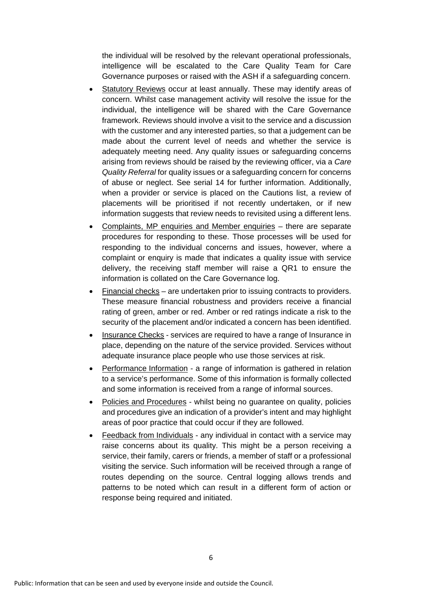the individual will be resolved by the relevant operational professionals, intelligence will be escalated to the Care Quality Team for Care Governance purposes or raised with the ASH if a safeguarding concern.

- Statutory Reviews occur at least annually. These may identify areas of concern. Whilst case management activity will resolve the issue for the individual, the intelligence will be shared with the Care Governance framework. Reviews should involve a visit to the service and a discussion with the customer and any interested parties, so that a judgement can be made about the current level of needs and whether the service is adequately meeting need. Any quality issues or safeguarding concerns arising from reviews should be raised by the reviewing officer, via a *Care Quality Referral* for quality issues or a safeguarding concern for concerns of abuse or neglect. See serial 14 for further information. Additionally, when a provider or service is placed on the Cautions list, a review of placements will be prioritised if not recently undertaken, or if new information suggests that review needs to revisited using a different lens.
- Complaints, MP enquiries and Member enquiries there are separate procedures for responding to these. Those processes will be used for responding to the individual concerns and issues, however, where a complaint or enquiry is made that indicates a quality issue with service delivery, the receiving staff member will raise a QR1 to ensure the information is collated on the Care Governance log.
- Financial checks are undertaken prior to issuing contracts to providers. These measure financial robustness and providers receive a financial rating of green, amber or red. Amber or red ratings indicate a risk to the security of the placement and/or indicated a concern has been identified.
- Insurance Checks services are required to have a range of Insurance in place, depending on the nature of the service provided. Services without adequate insurance place people who use those services at risk.
- Performance Information a range of information is gathered in relation to a service's performance. Some of this information is formally collected and some information is received from a range of informal sources.
- Policies and Procedures whilst being no guarantee on quality, policies and procedures give an indication of a provider's intent and may highlight areas of poor practice that could occur if they are followed.
- Feedback from Individuals any individual in contact with a service may raise concerns about its quality. This might be a person receiving a service, their family, carers or friends, a member of staff or a professional visiting the service. Such information will be received through a range of routes depending on the source. Central logging allows trends and patterns to be noted which can result in a different form of action or response being required and initiated.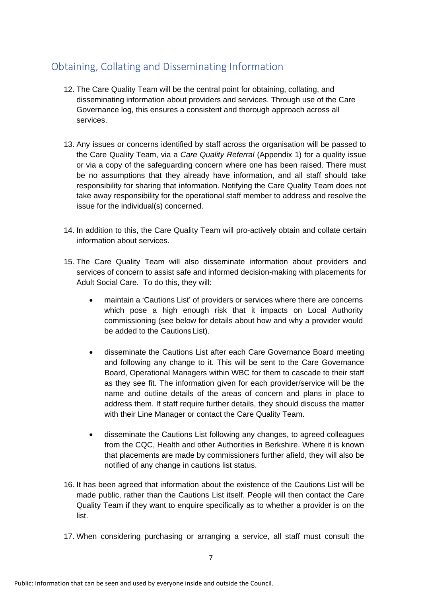# <span id="page-6-0"></span>Obtaining, Collating and Disseminating Information

- 12. The Care Quality Team will be the central point for obtaining, collating, and disseminating information about providers and services. Through use of the Care Governance log, this ensures a consistent and thorough approach across all services.
- 13. Any issues or concerns identified by staff across the organisation will be passed to the Care Quality Team, via a *Care Quality Referral* (Appendix 1) for a quality issue or via a copy of the safeguarding concern where one has been raised. There must be no assumptions that they already have information, and all staff should take responsibility for sharing that information. Notifying the Care Quality Team does not take away responsibility for the operational staff member to address and resolve the issue for the individual(s) concerned.
- 14. In addition to this, the Care Quality Team will pro-actively obtain and collate certain information about services.
- 15. The Care Quality Team will also disseminate information about providers and services of concern to assist safe and informed decision-making with placements for Adult Social Care. To do this, they will:
	- maintain a 'Cautions List' of providers or services where there are concerns which pose a high enough risk that it impacts on Local Authority commissioning (see below for details about how and why a provider would be added to the Cautions List).
	- disseminate the Cautions List after each Care Governance Board meeting and following any change to it. This will be sent to the Care Governance Board, Operational Managers within WBC for them to cascade to their staff as they see fit. The information given for each provider/service will be the name and outline details of the areas of concern and plans in place to address them. If staff require further details, they should discuss the matter with their Line Manager or contact the Care Quality Team.
	- disseminate the Cautions List following any changes, to agreed colleagues from the CQC, Health and other Authorities in Berkshire. Where it is known that placements are made by commissioners further afield, they will also be notified of any change in cautions list status.
- 16. It has been agreed that information about the existence of the Cautions List will be made public, rather than the Cautions List itself. People will then contact the Care Quality Team if they want to enquire specifically as to whether a provider is on the list.
- 17. When considering purchasing or arranging a service, all staff must consult the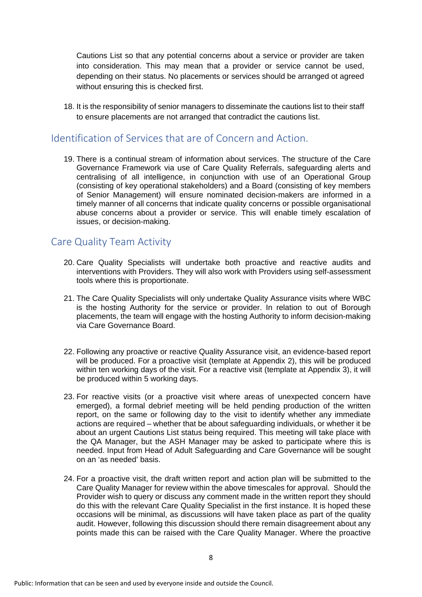Cautions List so that any potential concerns about a service or provider are taken into consideration. This may mean that a provider or service cannot be used, depending on their status. No placements or services should be arranged ot agreed without ensuring this is checked first.

18. It is the responsibility of senior managers to disseminate the cautions list to their staff to ensure placements are not arranged that contradict the cautions list.

## <span id="page-7-0"></span>Identification of Services that are of Concern and Action.

19. There is a continual stream of information about services. The structure of the Care Governance Framework via use of Care Quality Referrals, safeguarding alerts and centralising of all intelligence, in conjunction with use of an Operational Group (consisting of key operational stakeholders) and a Board (consisting of key members of Senior Management) will ensure nominated decision-makers are informed in a timely manner of all concerns that indicate quality concerns or possible organisational abuse concerns about a provider or service. This will enable timely escalation of issues, or decision-making.

## <span id="page-7-1"></span>Care Quality Team Activity

- 20. Care Quality Specialists will undertake both proactive and reactive audits and interventions with Providers. They will also work with Providers using self-assessment tools where this is proportionate.
- 21. The Care Quality Specialists will only undertake Quality Assurance visits where WBC is the hosting Authority for the service or provider. In relation to out of Borough placements, the team will engage with the hosting Authority to inform decision-making via Care Governance Board.
- 22. Following any proactive or reactive Quality Assurance visit, an evidence-based report will be produced. For a proactive visit (template at Appendix 2), this will be produced within ten working days of the visit. For a reactive visit (template at Appendix 3), it will be produced within 5 working days.
- 23. For reactive visits (or a proactive visit where areas of unexpected concern have emerged), a formal debrief meeting will be held pending production of the written report, on the same or following day to the visit to identify whether any immediate actions are required – whether that be about safeguarding individuals, or whether it be about an urgent Cautions List status being required. This meeting will take place with the QA Manager, but the ASH Manager may be asked to participate where this is needed. Input from Head of Adult Safeguarding and Care Governance will be sought on an 'as needed' basis.
- 24. For a proactive visit, the draft written report and action plan will be submitted to the Care Quality Manager for review within the above timescales for approval. Should the Provider wish to query or discuss any comment made in the written report they should do this with the relevant Care Quality Specialist in the first instance. It is hoped these occasions will be minimal, as discussions will have taken place as part of the quality audit. However, following this discussion should there remain disagreement about any points made this can be raised with the Care Quality Manager. Where the proactive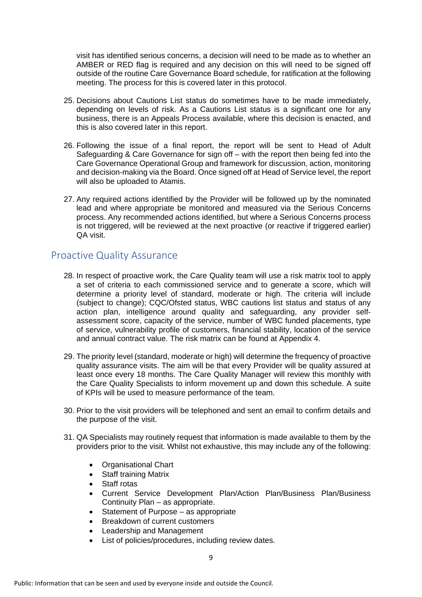visit has identified serious concerns, a decision will need to be made as to whether an AMBER or RED flag is required and any decision on this will need to be signed off outside of the routine Care Governance Board schedule, for ratification at the following meeting. The process for this is covered later in this protocol.

- 25. Decisions about Cautions List status do sometimes have to be made immediately, depending on levels of risk. As a Cautions List status is a significant one for any business, there is an Appeals Process available, where this decision is enacted, and this is also covered later in this report.
- 26. Following the issue of a final report, the report will be sent to Head of Adult Safeguarding & Care Governance for sign off – with the report then being fed into the Care Governance Operational Group and framework for discussion, action, monitoring and decision-making via the Board. Once signed off at Head of Service level, the report will also be uploaded to Atamis.
- 27. Any required actions identified by the Provider will be followed up by the nominated lead and where appropriate be monitored and measured via the Serious Concerns process. Any recommended actions identified, but where a Serious Concerns process is not triggered, will be reviewed at the next proactive (or reactive if triggered earlier) QA visit.

## <span id="page-8-0"></span>Proactive Quality Assurance

- 28. In respect of proactive work, the Care Quality team will use a risk matrix tool to apply a set of criteria to each commissioned service and to generate a score, which will determine a priority level of standard, moderate or high. The criteria will include (subject to change); CQC/Ofsted status, WBC cautions list status and status of any action plan, intelligence around quality and safeguarding, any provider selfassessment score, capacity of the service, number of WBC funded placements, type of service, vulnerability profile of customers, financial stability, location of the service and annual contract value. The risk matrix can be found at Appendix 4.
- 29. The priority level (standard, moderate or high) will determine the frequency of proactive quality assurance visits. The aim will be that every Provider will be quality assured at least once every 18 months. The Care Quality Manager will review this monthly with the Care Quality Specialists to inform movement up and down this schedule. A suite of KPIs will be used to measure performance of the team.
- 30. Prior to the visit providers will be telephoned and sent an email to confirm details and the purpose of the visit.
- 31. QA Specialists may routinely request that information is made available to them by the providers prior to the visit. Whilst not exhaustive, this may include any of the following:
	- Organisational Chart
	- Staff training Matrix
	- Staff rotas
	- Current Service Development Plan/Action Plan/Business Plan/Business Continuity Plan – as appropriate.
	- Statement of Purpose as appropriate
	- Breakdown of current customers
	- Leadership and Management
	- List of policies/procedures, including review dates.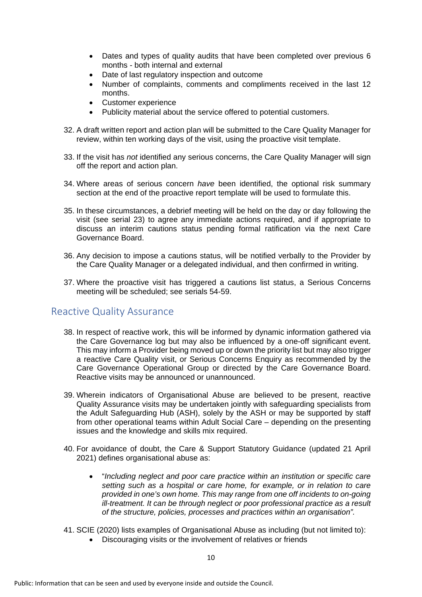- Dates and types of quality audits that have been completed over previous 6 months - both internal and external
- Date of last regulatory inspection and outcome
- Number of complaints, comments and compliments received in the last 12 months.
- Customer experience
- Publicity material about the service offered to potential customers.
- 32. A draft written report and action plan will be submitted to the Care Quality Manager for review, within ten working days of the visit, using the proactive visit template.
- 33. If the visit has *not* identified any serious concerns, the Care Quality Manager will sign off the report and action plan.
- 34. Where areas of serious concern *have* been identified, the optional risk summary section at the end of the proactive report template will be used to formulate this.
- 35. In these circumstances, a debrief meeting will be held on the day or day following the visit (see serial 23) to agree any immediate actions required, and if appropriate to discuss an interim cautions status pending formal ratification via the next Care Governance Board.
- 36. Any decision to impose a cautions status, will be notified verbally to the Provider by the Care Quality Manager or a delegated individual, and then confirmed in writing.
- 37. Where the proactive visit has triggered a cautions list status, a Serious Concerns meeting will be scheduled; see serials 54-59.

## <span id="page-9-0"></span>Reactive Quality Assurance

- 38. In respect of reactive work, this will be informed by dynamic information gathered via the Care Governance log but may also be influenced by a one-off significant event. This may inform a Provider being moved up or down the priority list but may also trigger a reactive Care Quality visit, or Serious Concerns Enquiry as recommended by the Care Governance Operational Group or directed by the Care Governance Board. Reactive visits may be announced or unannounced.
- 39. Wherein indicators of Organisational Abuse are believed to be present, reactive Quality Assurance visits may be undertaken jointly with safeguarding specialists from the Adult Safeguarding Hub (ASH), solely by the ASH or may be supported by staff from other operational teams within Adult Social Care – depending on the presenting issues and the knowledge and skills mix required.
- 40. For avoidance of doubt, the Care & Support Statutory Guidance (updated 21 April 2021) defines organisational abuse as:
	- "*Including neglect and poor care practice within an institution or specific care setting such as a hospital or care home, for example, or in relation to care provided in one's own home. This may range from one off incidents to on-going ill-treatment. It can be through neglect or poor professional practice as a result of the structure, policies, processes and practices within an organisation".*
- 41. SCIE (2020) lists examples of Organisational Abuse as including (but not limited to):
	- Discouraging visits or the involvement of relatives or friends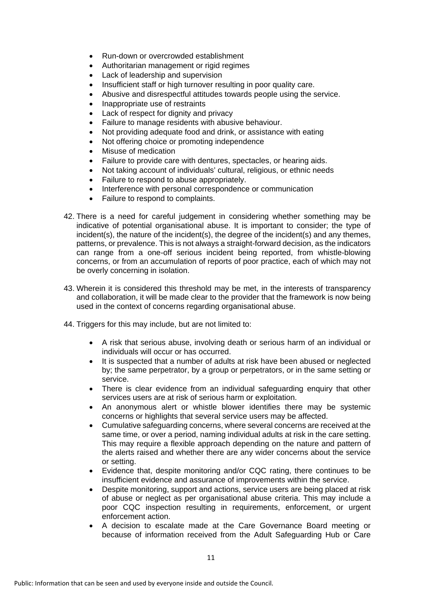- Run-down or overcrowded establishment
- Authoritarian management or rigid regimes
- Lack of leadership and supervision
- Insufficient staff or high turnover resulting in poor quality care.
- Abusive and disrespectful attitudes towards people using the service.
- Inappropriate use of restraints
- Lack of respect for dignity and privacy
- Failure to manage residents with abusive behaviour.
- Not providing adequate food and drink, or assistance with eating
- Not offering choice or promoting independence
- Misuse of medication
- Failure to provide care with dentures, spectacles, or hearing aids.
- Not taking account of individuals' cultural, religious, or ethnic needs
- Failure to respond to abuse appropriately.
- Interference with personal correspondence or communication
- Failure to respond to complaints.
- 42. There is a need for careful judgement in considering whether something may be indicative of potential organisational abuse. It is important to consider; the type of incident(s), the nature of the incident(s), the degree of the incident(s) and any themes, patterns, or prevalence. This is not always a straight-forward decision, as the indicators can range from a one-off serious incident being reported, from whistle-blowing concerns, or from an accumulation of reports of poor practice, each of which may not be overly concerning in isolation.
- 43. Wherein it is considered this threshold may be met, in the interests of transparency and collaboration, it will be made clear to the provider that the framework is now being used in the context of concerns regarding organisational abuse.
- 44. Triggers for this may include, but are not limited to:
	- A risk that serious abuse, involving death or serious harm of an individual or individuals will occur or has occurred.
	- It is suspected that a number of adults at risk have been abused or neglected by; the same perpetrator, by a group or perpetrators, or in the same setting or service.
	- There is clear evidence from an individual safeguarding enquiry that other services users are at risk of serious harm or exploitation.
	- An anonymous alert or whistle blower identifies there may be systemic concerns or highlights that several service users may be affected.
	- Cumulative safeguarding concerns, where several concerns are received at the same time, or over a period, naming individual adults at risk in the care setting. This may require a flexible approach depending on the nature and pattern of the alerts raised and whether there are any wider concerns about the service or setting.
	- Evidence that, despite monitoring and/or CQC rating, there continues to be insufficient evidence and assurance of improvements within the service.
	- Despite monitoring, support and actions, service users are being placed at risk of abuse or neglect as per organisational abuse criteria. This may include a poor CQC inspection resulting in requirements, enforcement, or urgent enforcement action.
	- A decision to escalate made at the Care Governance Board meeting or because of information received from the Adult Safeguarding Hub or Care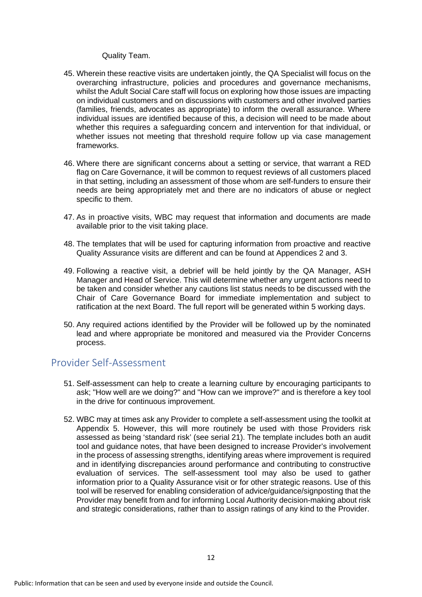#### Quality Team.

- 45. Wherein these reactive visits are undertaken jointly, the QA Specialist will focus on the overarching infrastructure, policies and procedures and governance mechanisms, whilst the Adult Social Care staff will focus on exploring how those issues are impacting on individual customers and on discussions with customers and other involved parties (families, friends, advocates as appropriate) to inform the overall assurance. Where individual issues are identified because of this, a decision will need to be made about whether this requires a safeguarding concern and intervention for that individual, or whether issues not meeting that threshold require follow up via case management frameworks.
- 46. Where there are significant concerns about a setting or service, that warrant a RED flag on Care Governance, it will be common to request reviews of all customers placed in that setting, including an assessment of those whom are self-funders to ensure their needs are being appropriately met and there are no indicators of abuse or neglect specific to them.
- 47. As in proactive visits, WBC may request that information and documents are made available prior to the visit taking place.
- 48. The templates that will be used for capturing information from proactive and reactive Quality Assurance visits are different and can be found at Appendices 2 and 3.
- 49. Following a reactive visit, a debrief will be held jointly by the QA Manager, ASH Manager and Head of Service. This will determine whether any urgent actions need to be taken and consider whether any cautions list status needs to be discussed with the Chair of Care Governance Board for immediate implementation and subject to ratification at the next Board. The full report will be generated within 5 working days.
- 50. Any required actions identified by the Provider will be followed up by the nominated lead and where appropriate be monitored and measured via the Provider Concerns process.

## <span id="page-11-0"></span>Provider Self-Assessment

- 51. Self-assessment can help to create a learning culture by encouraging participants to ask; "How well are we doing?" and "How can we improve?" and is therefore a key tool in the drive for continuous improvement.
- 52. WBC may at times ask any Provider to complete a self-assessment using the toolkit at Appendix 5. However, this will more routinely be used with those Providers risk assessed as being 'standard risk' (see serial 21). The template includes both an audit tool and guidance notes, that have been designed to increase Provider's involvement in the process of assessing strengths, identifying areas where improvement is required and in identifying discrepancies around performance and contributing to constructive evaluation of services. The self-assessment tool may also be used to gather information prior to a Quality Assurance visit or for other strategic reasons. Use of this tool will be reserved for enabling consideration of advice/guidance/signposting that the Provider may benefit from and for informing Local Authority decision-making about risk and strategic considerations, rather than to assign ratings of any kind to the Provider.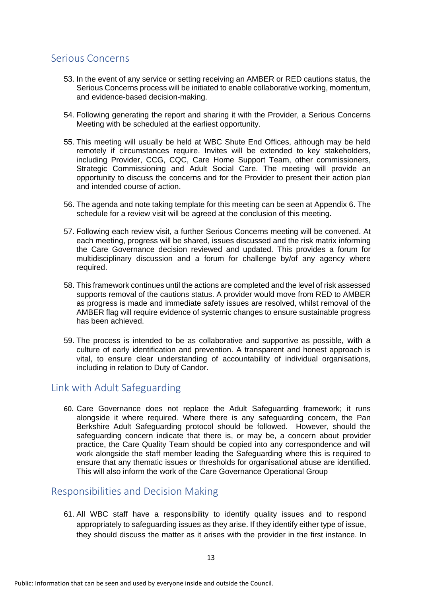## <span id="page-12-0"></span>Serious Concerns

- 53. In the event of any service or setting receiving an AMBER or RED cautions status, the Serious Concerns process will be initiated to enable collaborative working, momentum, and evidence-based decision-making.
- 54. Following generating the report and sharing it with the Provider, a Serious Concerns Meeting with be scheduled at the earliest opportunity.
- 55. This meeting will usually be held at WBC Shute End Offices, although may be held remotely if circumstances require. Invites will be extended to key stakeholders, including Provider, CCG, CQC, Care Home Support Team, other commissioners, Strategic Commissioning and Adult Social Care. The meeting will provide an opportunity to discuss the concerns and for the Provider to present their action plan and intended course of action.
- 56. The agenda and note taking template for this meeting can be seen at Appendix 6. The schedule for a review visit will be agreed at the conclusion of this meeting.
- 57. Following each review visit, a further Serious Concerns meeting will be convened. At each meeting, progress will be shared, issues discussed and the risk matrix informing the Care Governance decision reviewed and updated. This provides a forum for multidisciplinary discussion and a forum for challenge by/of any agency where required.
- 58. This framework continues until the actions are completed and the level of risk assessed supports removal of the cautions status. A provider would move from RED to AMBER as progress is made and immediate safety issues are resolved, whilst removal of the AMBER flag will require evidence of systemic changes to ensure sustainable progress has been achieved.
- 59. The process is intended to be as collaborative and supportive as possible, with a culture of early identification and prevention. A transparent and honest approach is vital, to ensure clear understanding of accountability of individual organisations, including in relation to Duty of Candor.

## <span id="page-12-1"></span>Link with Adult Safeguarding

60. Care Governance does not replace the Adult Safeguarding framework; it runs alongside it where required. Where there is any safeguarding concern, the Pan Berkshire Adult Safeguarding protocol should be followed. However, should the safeguarding concern indicate that there is, or may be, a concern about provider practice, the Care Quality Team should be copied into any correspondence and will work alongside the staff member leading the Safeguarding where this is required to ensure that any thematic issues or thresholds for organisational abuse are identified. This will also inform the work of the Care Governance Operational Group

## <span id="page-12-2"></span>Responsibilities and Decision Making

61. All WBC staff have a responsibility to identify quality issues and to respond appropriately to safeguarding issues as they arise. If they identify either type of issue, they should discuss the matter as it arises with the provider in the first instance. In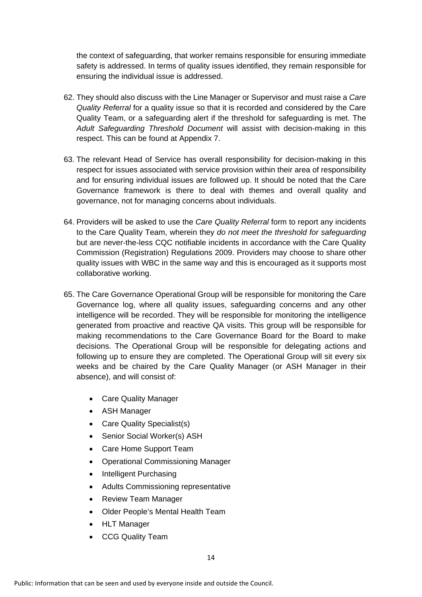the context of safeguarding, that worker remains responsible for ensuring immediate safety is addressed. In terms of quality issues identified, they remain responsible for ensuring the individual issue is addressed.

- 62. They should also discuss with the Line Manager or Supervisor and must raise a *Care Quality Referral* for a quality issue so that it is recorded and considered by the Care Quality Team, or a safeguarding alert if the threshold for safeguarding is met. The *Adult Safeguarding Threshold Document* will assist with decision-making in this respect. This can be found at Appendix 7.
- 63. The relevant Head of Service has overall responsibility for decision-making in this respect for issues associated with service provision within their area of responsibility and for ensuring individual issues are followed up. It should be noted that the Care Governance framework is there to deal with themes and overall quality and governance, not for managing concerns about individuals.
- 64. Providers will be asked to use the *Care Quality Referral* form to report any incidents to the Care Quality Team, wherein they *do not meet the threshold for safeguarding* but are never-the-less CQC notifiable incidents in accordance with the Care Quality Commission (Registration) Regulations 2009. Providers may choose to share other quality issues with WBC in the same way and this is encouraged as it supports most collaborative working.
- 65. The Care Governance Operational Group will be responsible for monitoring the Care Governance log, where all quality issues, safeguarding concerns and any other intelligence will be recorded. They will be responsible for monitoring the intelligence generated from proactive and reactive QA visits. This group will be responsible for making recommendations to the Care Governance Board for the Board to make decisions. The Operational Group will be responsible for delegating actions and following up to ensure they are completed. The Operational Group will sit every six weeks and be chaired by the Care Quality Manager (or ASH Manager in their absence), and will consist of:
	- Care Quality Manager
	- ASH Manager
	- Care Quality Specialist(s)
	- Senior Social Worker(s) ASH
	- Care Home Support Team
	- Operational Commissioning Manager
	- Intelligent Purchasing
	- Adults Commissioning representative
	- Review Team Manager
	- Older People's Mental Health Team
	- HLT Manager
	- CCG Quality Team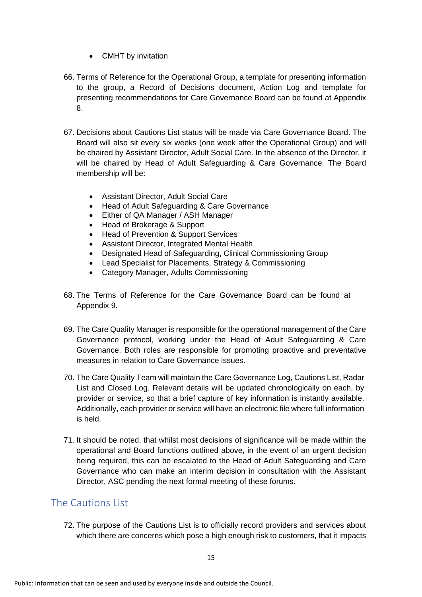- CMHT by invitation
- 66. Terms of Reference for the Operational Group, a template for presenting information to the group, a Record of Decisions document, Action Log and template for presenting recommendations for Care Governance Board can be found at Appendix 8.
- 67. Decisions about Cautions List status will be made via Care Governance Board. The Board will also sit every six weeks (one week after the Operational Group) and will be chaired by Assistant Director, Adult Social Care. In the absence of the Director, it will be chaired by Head of Adult Safeguarding & Care Governance. The Board membership will be:
	- Assistant Director, Adult Social Care
	- Head of Adult Safeguarding & Care Governance
	- Either of QA Manager / ASH Manager
	- Head of Brokerage & Support
	- Head of Prevention & Support Services
	- Assistant Director, Integrated Mental Health
	- Designated Head of Safeguarding, Clinical Commissioning Group
	- Lead Specialist for Placements, Strategy & Commissioning
	- Category Manager, Adults Commissioning
- 68. The Terms of Reference for the Care Governance Board can be found at Appendix 9.
- 69. The Care Quality Manager is responsible for the operational management of the Care Governance protocol, working under the Head of Adult Safeguarding & Care Governance. Both roles are responsible for promoting proactive and preventative measures in relation to Care Governance issues.
- 70. The Care Quality Team will maintain the Care Governance Log, Cautions List, Radar List and Closed Log. Relevant details will be updated chronologically on each, by provider or service, so that a brief capture of key information is instantly available. Additionally, each provider or service will have an electronic file where full information is held.
- 71. It should be noted, that whilst most decisions of significance will be made within the operational and Board functions outlined above, in the event of an urgent decision being required, this can be escalated to the Head of Adult Safeguarding and Care Governance who can make an interim decision in consultation with the Assistant Director, ASC pending the next formal meeting of these forums.

## <span id="page-14-0"></span>The Cautions List

72. The purpose of the Cautions List is to officially record providers and services about which there are concerns which pose a high enough risk to customers, that it impacts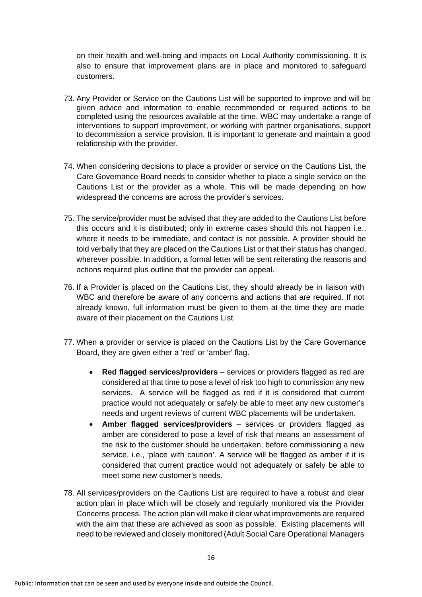on their health and well-being and impacts on Local Authority commissioning. It is also to ensure that improvement plans are in place and monitored to safeguard customers.

- 73. Any Provider or Service on the Cautions List will be supported to improve and will be given advice and information to enable recommended or required actions to be completed using the resources available at the time. WBC may undertake a range of interventions to support improvement, or working with partner organisations, support to decommission a service provision. It is important to generate and maintain a good relationship with the provider.
- 74. When considering decisions to place a provider or service on the Cautions List, the Care Governance Board needs to consider whether to place a single service on the Cautions List or the provider as a whole. This will be made depending on how widespread the concerns are across the provider's services.
- 75. The service/provider must be advised that they are added to the Cautions List before this occurs and it is distributed; only in extreme cases should this not happen i.e., where it needs to be immediate, and contact is not possible. A provider should be told verbally that they are placed on the Cautions List or that their status has changed, wherever possible. In addition, a formal letter will be sent reiterating the reasons and actions required plus outline that the provider can appeal.
- 76. If a Provider is placed on the Cautions List, they should already be in liaison with WBC and therefore be aware of any concerns and actions that are required. If not already known, full information must be given to them at the time they are made aware of their placement on the Cautions List.
- 77. When a provider or service is placed on the Cautions List by the Care Governance Board, they are given either a 'red' or 'amber' flag.
	- **Red flagged services/providers** services or providers flagged as red are considered at that time to pose a level of risk too high to commission any new services. A service will be flagged as red if it is considered that current practice would not adequately or safely be able to meet any new customer's needs and urgent reviews of current WBC placements will be undertaken.
	- **Amber flagged services/providers**  services or providers flagged as amber are considered to pose a level of risk that means an assessment of the risk to the customer should be undertaken, before commissioning a new service, i.e., 'place with caution'. A service will be flagged as amber if it is considered that current practice would not adequately or safely be able to meet some new customer's needs.
- 78. All services/providers on the Cautions List are required to have a robust and clear action plan in place which will be closely and regularly monitored via the Provider Concerns process. The action plan will make it clear what improvements are required with the aim that these are achieved as soon as possible. Existing placements will need to be reviewed and closely monitored (Adult Social Care Operational Managers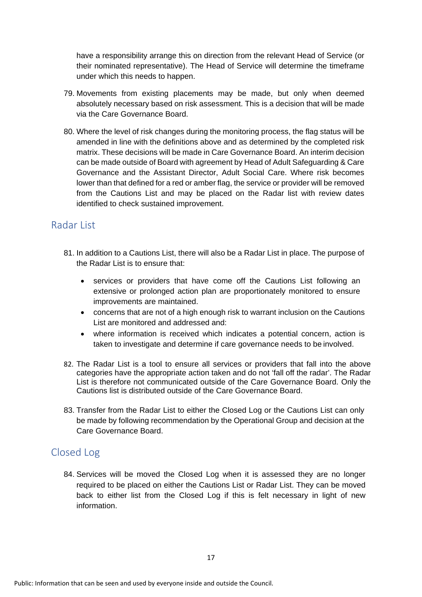have a responsibility arrange this on direction from the relevant Head of Service (or their nominated representative). The Head of Service will determine the timeframe under which this needs to happen.

- 79. Movements from existing placements may be made, but only when deemed absolutely necessary based on risk assessment. This is a decision that will be made via the Care Governance Board.
- 80. Where the level of risk changes during the monitoring process, the flag status will be amended in line with the definitions above and as determined by the completed risk matrix. These decisions will be made in Care Governance Board. An interim decision can be made outside of Board with agreement by Head of Adult Safeguarding & Care Governance and the Assistant Director, Adult Social Care. Where risk becomes lower than that defined for a red or amber flag, the service or provider will be removed from the Cautions List and may be placed on the Radar list with review dates identified to check sustained improvement.

## <span id="page-16-0"></span>Radar List

- 81. In addition to a Cautions List, there will also be a Radar List in place. The purpose of the Radar List is to ensure that:
	- services or providers that have come off the Cautions List following an extensive or prolonged action plan are proportionately monitored to ensure improvements are maintained.
	- concerns that are not of a high enough risk to warrant inclusion on the Cautions List are monitored and addressed and:
	- where information is received which indicates a potential concern, action is taken to investigate and determine if care governance needs to be involved.
- 82. The Radar List is a tool to ensure all services or providers that fall into the above categories have the appropriate action taken and do not 'fall off the radar'. The Radar List is therefore not communicated outside of the Care Governance Board. Only the Cautions list is distributed outside of the Care Governance Board.
- 83. Transfer from the Radar List to either the Closed Log or the Cautions List can only be made by following recommendation by the Operational Group and decision at the Care Governance Board.

## <span id="page-16-1"></span>Closed Log

84. Services will be moved the Closed Log when it is assessed they are no longer required to be placed on either the Cautions List or Radar List. They can be moved back to either list from the Closed Log if this is felt necessary in light of new information.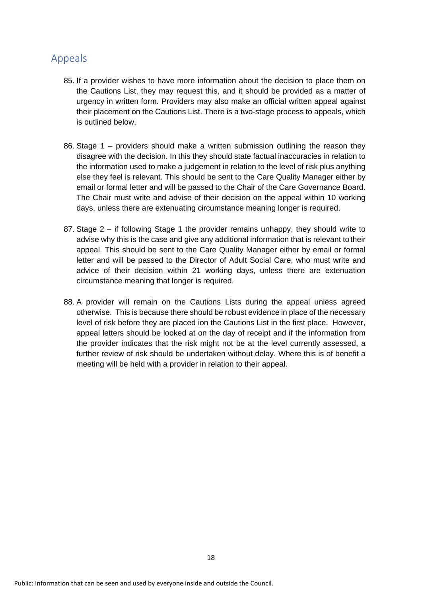## <span id="page-17-0"></span>Appeals

- 85. If a provider wishes to have more information about the decision to place them on the Cautions List, they may request this, and it should be provided as a matter of urgency in written form. Providers may also make an official written appeal against their placement on the Cautions List. There is a two-stage process to appeals, which is outlined below.
- 86. Stage 1 providers should make a written submission outlining the reason they disagree with the decision. In this they should state factual inaccuracies in relation to the information used to make a judgement in relation to the level of risk plus anything else they feel is relevant. This should be sent to the Care Quality Manager either by email or formal letter and will be passed to the Chair of the Care Governance Board. The Chair must write and advise of their decision on the appeal within 10 working days, unless there are extenuating circumstance meaning longer is required.
- 87. Stage 2 if following Stage 1 the provider remains unhappy, they should write to advise why this is the case and give any additional information that is relevant totheir appeal. This should be sent to the Care Quality Manager either by email or formal letter and will be passed to the Director of Adult Social Care, who must write and advice of their decision within 21 working days, unless there are extenuation circumstance meaning that longer is required.
- 88. A provider will remain on the Cautions Lists during the appeal unless agreed otherwise. This is because there should be robust evidence in place of the necessary level of risk before they are placed ion the Cautions List in the first place. However, appeal letters should be looked at on the day of receipt and if the information from the provider indicates that the risk might not be at the level currently assessed, a further review of risk should be undertaken without delay. Where this is of benefit a meeting will be held with a provider in relation to their appeal.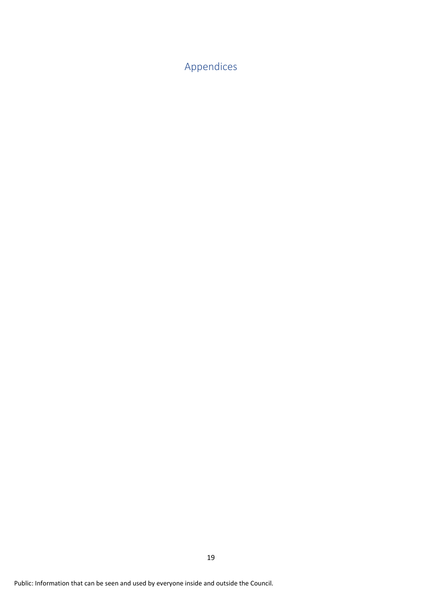<span id="page-18-0"></span>Appendices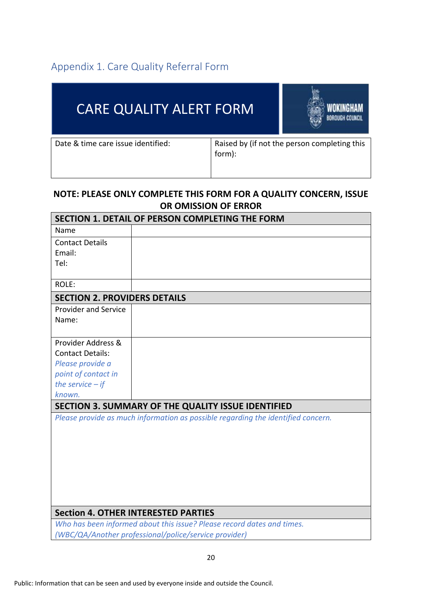# <span id="page-19-0"></span>Appendix 1. Care Quality Referral Form

| <b>CARE QUALITY ALERT FORM</b>     |        | <b>BOROUGH COUNCIL</b>                       |
|------------------------------------|--------|----------------------------------------------|
| Date & time care issue identified: | form): | Raised by (if not the person completing this |

## **NOTE: PLEASE ONLY COMPLETE THIS FORM FOR A QUALITY CONCERN, ISSUE OR OMISSION OF ERROR**

| SECTION 1. DETAIL OF PERSON COMPLETING THE FORM |                                                                                  |  |  |
|-------------------------------------------------|----------------------------------------------------------------------------------|--|--|
| Name                                            |                                                                                  |  |  |
| <b>Contact Details</b>                          |                                                                                  |  |  |
| Email:                                          |                                                                                  |  |  |
| Tel:                                            |                                                                                  |  |  |
| ROLE:                                           |                                                                                  |  |  |
| <b>SECTION 2. PROVIDERS DETAILS</b>             |                                                                                  |  |  |
| <b>Provider and Service</b>                     |                                                                                  |  |  |
| Name:                                           |                                                                                  |  |  |
| Provider Address &                              |                                                                                  |  |  |
| <b>Contact Details:</b>                         |                                                                                  |  |  |
| Please provide a                                |                                                                                  |  |  |
| point of contact in                             |                                                                                  |  |  |
| the service $-$ if                              |                                                                                  |  |  |
| known.                                          |                                                                                  |  |  |
|                                                 | SECTION 3. SUMMARY OF THE QUALITY ISSUE IDENTIFIED                               |  |  |
|                                                 | Please provide as much information as possible regarding the identified concern. |  |  |
|                                                 | <b>Section 4. OTHER INTERESTED PARTIES</b>                                       |  |  |
|                                                 | Who has been informed about this issue? Please record dates and times.           |  |  |
|                                                 | (WBC/QA/Another professional/police/service provider)                            |  |  |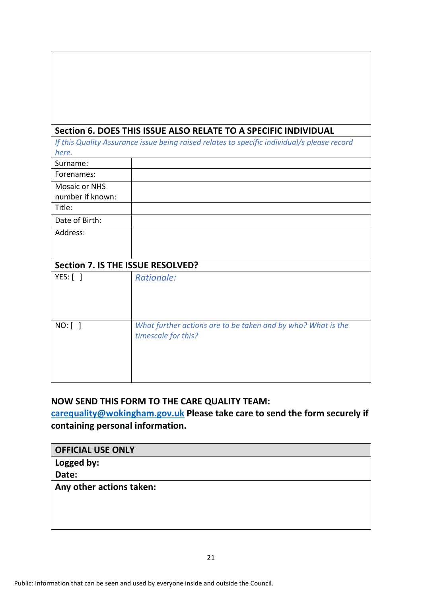|                                   | Section 6. DOES THIS ISSUE ALSO RELATE TO A SPECIFIC INDIVIDUAL                             |
|-----------------------------------|---------------------------------------------------------------------------------------------|
|                                   | If this Quality Assurance issue being raised relates to specific individual/s please record |
| here.                             |                                                                                             |
| Surname:                          |                                                                                             |
| Forenames:                        |                                                                                             |
| Mosaic or NHS                     |                                                                                             |
| number if known:                  |                                                                                             |
| Title:                            |                                                                                             |
| Date of Birth:                    |                                                                                             |
| Address:                          |                                                                                             |
|                                   |                                                                                             |
|                                   |                                                                                             |
| Section 7. IS THE ISSUE RESOLVED? |                                                                                             |
| $YES:$ [ ]                        | Rationale:                                                                                  |
|                                   |                                                                                             |
|                                   |                                                                                             |
|                                   |                                                                                             |
| $NO:$ $\lceil$ $\rceil$           | What further actions are to be taken and by who? What is the                                |
|                                   | timescale for this?                                                                         |
|                                   |                                                                                             |
|                                   |                                                                                             |
|                                   |                                                                                             |
|                                   |                                                                                             |

## **NOW SEND THIS FORM TO THE CARE QUALITY TEAM:**

**[carequality@wokingham.gov.uk](mailto:carequality@wokingham.gov.uk) Please take care to send the form securely if containing personal information.**

| <b>OFFICIAL USE ONLY</b> |  |
|--------------------------|--|
|--------------------------|--|

**Logged by:**

**Date:**

**Any other actions taken:**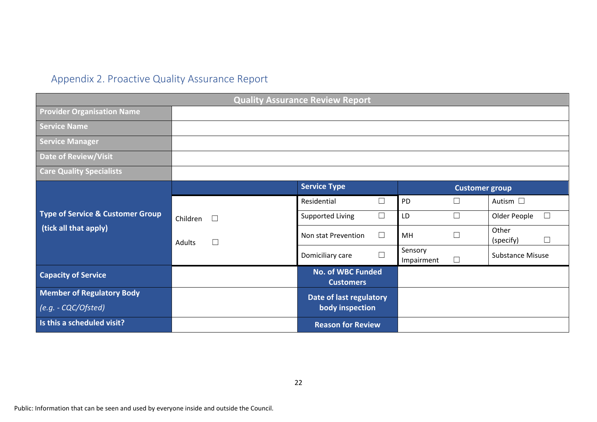# Appendix 2. Proactive Quality Assurance Report

<span id="page-21-0"></span>

| <b>Quality Assurance Review Report</b>                               |                  |                                              |                       |                       |                              |
|----------------------------------------------------------------------|------------------|----------------------------------------------|-----------------------|-----------------------|------------------------------|
| <b>Provider Organisation Name</b>                                    |                  |                                              |                       |                       |                              |
| <b>Service Name</b>                                                  |                  |                                              |                       |                       |                              |
| <b>Service Manager</b>                                               |                  |                                              |                       |                       |                              |
| <b>Date of Review/Visit</b>                                          |                  |                                              |                       |                       |                              |
| <b>Care Quality Specialists</b>                                      |                  |                                              |                       |                       |                              |
|                                                                      |                  | <b>Service Type</b>                          |                       | <b>Customer group</b> |                              |
|                                                                      |                  | Residential<br>П                             | PD                    | $\Box$                | Autism $\square$             |
| <b>Type of Service &amp; Customer Group</b><br>(tick all that apply) | Children         | $\Box$<br>Supported Living                   | LD                    | $\Box$                | $\Box$<br>Older People       |
|                                                                      | $\Box$<br>Adults | $\Box$<br>Non stat Prevention                | MH                    |                       | Other<br>$\Box$<br>(specify) |
|                                                                      |                  | П<br>Domiciliary care                        | Sensory<br>Impairment | $\Box$                | <b>Substance Misuse</b>      |
| <b>Capacity of Service</b>                                           |                  | <b>No. of WBC Funded</b><br><b>Customers</b> |                       |                       |                              |
| <b>Member of Regulatory Body</b>                                     |                  | Date of last regulatory                      |                       |                       |                              |
| (e.g. - CQC/Ofsted)                                                  |                  | body inspection                              |                       |                       |                              |
| Is this a scheduled visit?                                           |                  | <b>Reason for Review</b>                     |                       |                       |                              |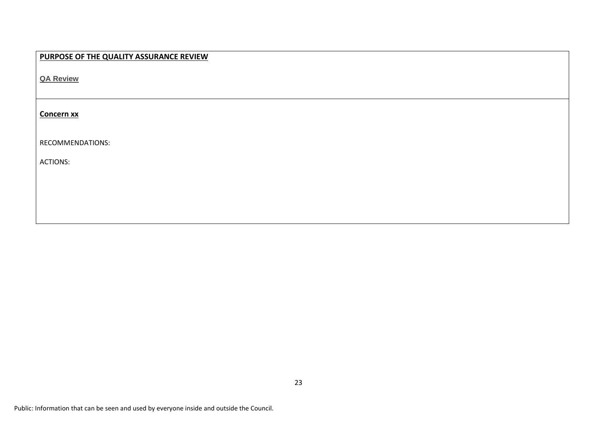| PURPOSE OF THE QUALITY ASSURANCE REVIEW |
|-----------------------------------------|
| <b>QA Review</b>                        |
|                                         |
| <b>Concern xx</b>                       |
|                                         |
| RECOMMENDATIONS:                        |
| <b>ACTIONS:</b>                         |
|                                         |
|                                         |
|                                         |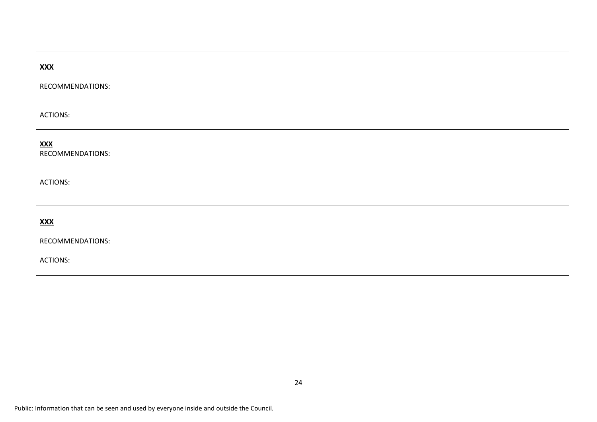| <u>XXX</u>                      |  |
|---------------------------------|--|
| RECOMMENDATIONS:                |  |
| <b>ACTIONS:</b>                 |  |
| $X$ $X$ $X$<br>RECOMMENDATIONS: |  |
| <b>ACTIONS:</b>                 |  |
| <u>XXX</u>                      |  |
| RECOMMENDATIONS:                |  |
| <b>ACTIONS:</b>                 |  |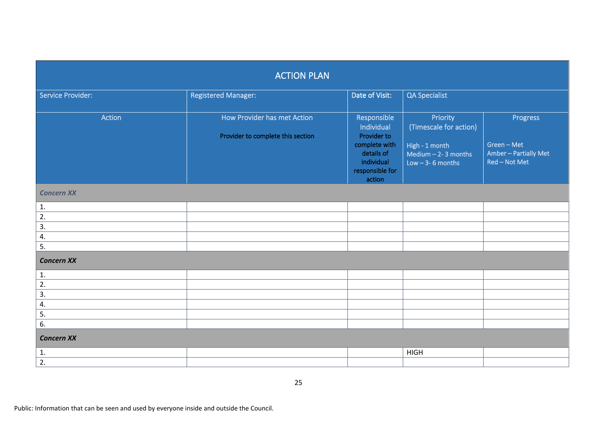| <b>ACTION PLAN</b>       |                                                                  |                                                                                                                    |                                                                                                   |                                                                   |  |
|--------------------------|------------------------------------------------------------------|--------------------------------------------------------------------------------------------------------------------|---------------------------------------------------------------------------------------------------|-------------------------------------------------------------------|--|
| <b>Service Provider:</b> | <b>Registered Manager:</b>                                       | Date of Visit:<br>QA Specialist                                                                                    |                                                                                                   |                                                                   |  |
| Action                   | How Provider has met Action<br>Provider to complete this section | Responsible<br>Individual<br>Provider to<br>complete with<br>details of<br>individual<br>responsible for<br>action | Priority<br>(Timescale for action)<br>High - 1 month<br>Medium $-2-3$ months<br>Low $-3-6$ months | Progress<br>Green - Met<br>Amber - Partially Met<br>Red - Not Met |  |
| <b>Concern XX</b>        |                                                                  |                                                                                                                    |                                                                                                   |                                                                   |  |
| 1.                       |                                                                  |                                                                                                                    |                                                                                                   |                                                                   |  |
| 2.                       |                                                                  |                                                                                                                    |                                                                                                   |                                                                   |  |
| 3.                       |                                                                  |                                                                                                                    |                                                                                                   |                                                                   |  |
| 4.                       |                                                                  |                                                                                                                    |                                                                                                   |                                                                   |  |
| $\overline{5}$ .         |                                                                  |                                                                                                                    |                                                                                                   |                                                                   |  |
| <b>Concern XX</b>        |                                                                  |                                                                                                                    |                                                                                                   |                                                                   |  |
| 1.                       |                                                                  |                                                                                                                    |                                                                                                   |                                                                   |  |
| 2.                       |                                                                  |                                                                                                                    |                                                                                                   |                                                                   |  |
| 3.                       |                                                                  |                                                                                                                    |                                                                                                   |                                                                   |  |
| 4.                       |                                                                  |                                                                                                                    |                                                                                                   |                                                                   |  |
| 5.                       |                                                                  |                                                                                                                    |                                                                                                   |                                                                   |  |
| $\overline{6}$ .         |                                                                  |                                                                                                                    |                                                                                                   |                                                                   |  |
| <b>Concern XX</b>        |                                                                  |                                                                                                                    |                                                                                                   |                                                                   |  |
| 1.                       |                                                                  |                                                                                                                    | <b>HIGH</b>                                                                                       |                                                                   |  |
| 2.                       |                                                                  |                                                                                                                    |                                                                                                   |                                                                   |  |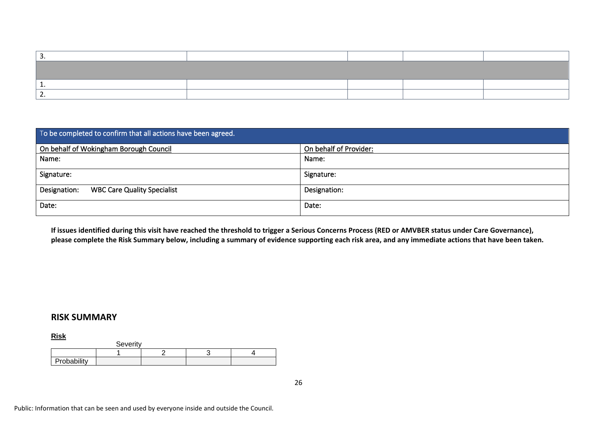| To be completed to confirm that all actions have been agreed. |                        |
|---------------------------------------------------------------|------------------------|
| On behalf of Wokingham Borough Council                        | On behalf of Provider: |
| Name:                                                         | Name:                  |
| Signature:                                                    | Signature:             |
| Designation:<br><b>WBC Care Quality Specialist</b>            | Designation:           |
| Date:                                                         | Date:                  |

**If issues identified during this visit have reached the threshold to trigger a Serious Concerns Process (RED or AMVBER status under Care Governance), please complete the Risk Summary below, including a summary of evidence supporting each risk area, and any immediate actions that have been taken.**

#### **RISK SUMMARY**

**Risk**

|             | Severity |  |  |
|-------------|----------|--|--|
|             |          |  |  |
| Probability |          |  |  |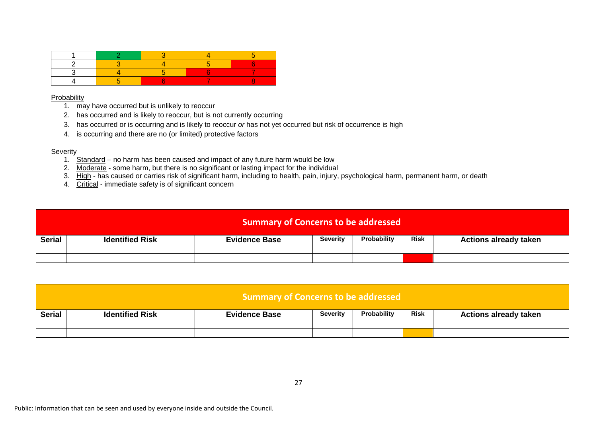#### Probability

- 1. may have occurred but is unlikely to reoccur
- 2. has occurred and is likely to reoccur, but is not currently occurring
- 3. has occurred or is occurring and is likely to reoccur *or* has not yet occurred but risk of occurrence is high
- 4. is occurring and there are no (or limited) protective factors

#### Severity

- 1. Standard no harm has been caused and impact of any future harm would be low
- 2. Moderate some harm, but there is no significant or lasting impact for the individual
- 3. High has caused or carries risk of significant harm, including to health, pain, injury, psychological harm, permanent harm, or death
- 4. Critical immediate safety is of significant concern

| <b>Summary of Concerns to be addressed</b> |                        |                      |                 |             |             |                              |
|--------------------------------------------|------------------------|----------------------|-----------------|-------------|-------------|------------------------------|
| <b>Serial</b>                              | <b>Identified Risk</b> | <b>Evidence Base</b> | <b>Severity</b> | Probability | <b>Risk</b> | <b>Actions already taken</b> |
|                                            |                        |                      |                 |             |             |                              |

| <b>Summary of Concerns to be addressed</b> |                        |                      |                 |             |      |                              |
|--------------------------------------------|------------------------|----------------------|-----------------|-------------|------|------------------------------|
| <b>Serial</b>                              | <b>Identified Risk</b> | <b>Evidence Base</b> | <b>Severity</b> | Probability | Risk | <b>Actions already taken</b> |
|                                            |                        |                      |                 |             |      |                              |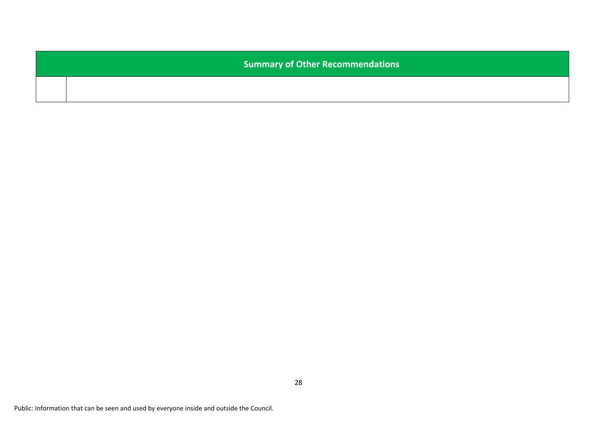**Summary of Other Recommendations**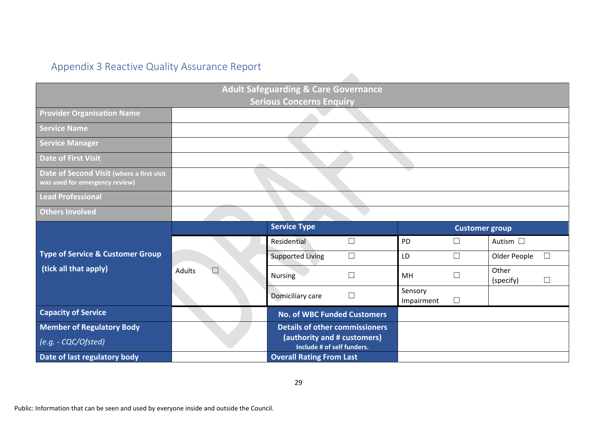# Appendix 3 Reactive Quality Assurance Report

<span id="page-28-0"></span>

|                                                                             |                  | <b>Adult Safeguarding &amp; Care Governance</b>           |                       |                       |                        |
|-----------------------------------------------------------------------------|------------------|-----------------------------------------------------------|-----------------------|-----------------------|------------------------|
|                                                                             |                  | <b>Serious Concerns Enquiry</b>                           |                       |                       |                        |
| <b>Provider Organisation Name</b>                                           |                  |                                                           |                       |                       |                        |
| <b>Service Name</b>                                                         |                  |                                                           |                       |                       |                        |
| <b>Service Manager</b>                                                      |                  |                                                           |                       |                       |                        |
| <b>Date of First Visit</b>                                                  |                  |                                                           |                       |                       |                        |
| Date of Second Visit (where a first visit<br>was used for emergency review) |                  |                                                           |                       |                       |                        |
| <b>Lead Professional</b>                                                    |                  |                                                           |                       |                       |                        |
| <b>Others Involved</b>                                                      |                  |                                                           |                       |                       |                        |
|                                                                             |                  | <b>Service Type</b>                                       |                       | <b>Customer group</b> |                        |
|                                                                             |                  | $\Box$<br>Residential                                     | PD                    |                       | Autism $\square$       |
| <b>Type of Service &amp; Customer Group</b>                                 |                  | $\Box$<br><b>Supported Living</b>                         | LD                    | $\Box$                | $\Box$<br>Older People |
| (tick all that apply)                                                       | Adults<br>$\Box$ | $\Box$<br><b>Nursing</b>                                  | MH                    |                       | Other                  |
|                                                                             |                  |                                                           |                       |                       | $\Box$<br>(specify)    |
|                                                                             |                  | $\Box$<br>Domiciliary care                                | Sensory<br>Impairment | $\Box$                |                        |
| <b>Capacity of Service</b>                                                  |                  | <b>No. of WBC Funded Customers</b>                        |                       |                       |                        |
| <b>Member of Regulatory Body</b>                                            |                  | <b>Details of other commissioners</b>                     |                       |                       |                        |
| (e.g. - CQC/Ofsted)                                                         |                  | (authority and # customers)<br>Include # of self funders. |                       |                       |                        |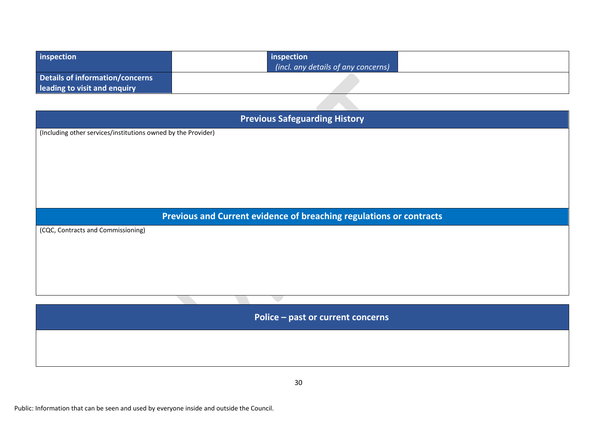| inspection                      | inspection                          |
|---------------------------------|-------------------------------------|
|                                 | (incl. any details of any concerns) |
| Details of information/concerns |                                     |
| leading to visit and enquiry    |                                     |
|                                 |                                     |

| <b>Previous Safeguarding History</b>                                |
|---------------------------------------------------------------------|
| (Including other services/institutions owned by the Provider)       |
|                                                                     |
|                                                                     |
|                                                                     |
|                                                                     |
|                                                                     |
|                                                                     |
|                                                                     |
|                                                                     |
|                                                                     |
| Previous and Current evidence of breaching regulations or contracts |
| (CQC, Contracts and Commissioning)                                  |
|                                                                     |
|                                                                     |
|                                                                     |
|                                                                     |
|                                                                     |
|                                                                     |
|                                                                     |
|                                                                     |

**Police – past or current concerns**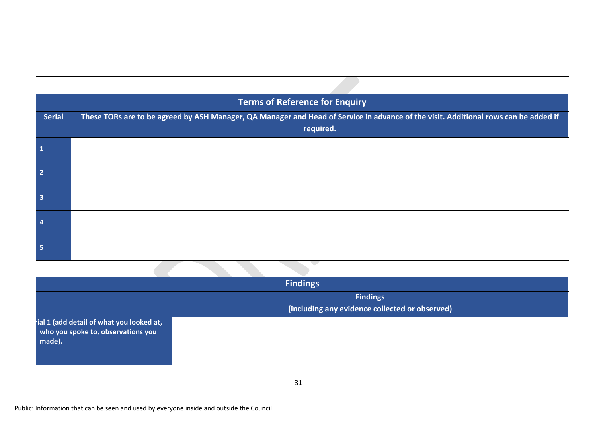|                         | <b>Terms of Reference for Enquiry</b>                                                                                               |
|-------------------------|-------------------------------------------------------------------------------------------------------------------------------------|
| <b>Serial</b>           | These TORs are to be agreed by ASH Manager, QA Manager and Head of Service in advance of the visit. Additional rows can be added if |
|                         | required.                                                                                                                           |
| $\overline{\mathbf{1}}$ |                                                                                                                                     |
| $\overline{2}$          |                                                                                                                                     |
| $\overline{\mathbf{3}}$ |                                                                                                                                     |
| $\overline{4}$          |                                                                                                                                     |

|                                                                                           | <b>Findings</b>                                |
|-------------------------------------------------------------------------------------------|------------------------------------------------|
|                                                                                           | <b>Findings</b>                                |
|                                                                                           | (including any evidence collected or observed) |
| rial 1 (add detail of what you looked at,<br>who you spoke to, observations you<br>made). |                                                |

 $\overline{\phantom{0}}$ 

**5**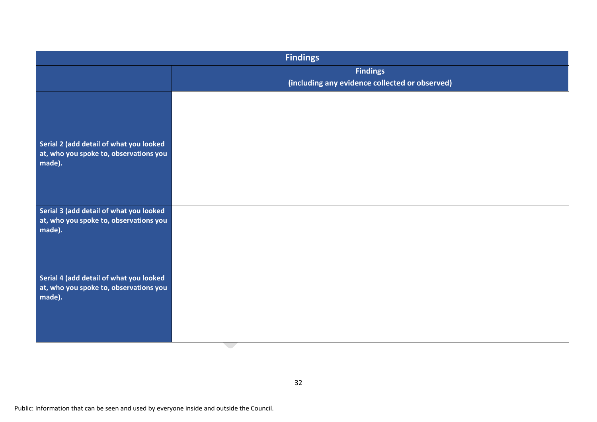| <b>Findings</b>                                                                   |                                                |  |
|-----------------------------------------------------------------------------------|------------------------------------------------|--|
|                                                                                   | <b>Findings</b>                                |  |
|                                                                                   | (including any evidence collected or observed) |  |
|                                                                                   |                                                |  |
|                                                                                   |                                                |  |
|                                                                                   |                                                |  |
| Serial 2 (add detail of what you looked<br>at, who you spoke to, observations you |                                                |  |
| made).                                                                            |                                                |  |
|                                                                                   |                                                |  |
|                                                                                   |                                                |  |
| Serial 3 (add detail of what you looked                                           |                                                |  |
| at, who you spoke to, observations you                                            |                                                |  |
| made).                                                                            |                                                |  |
|                                                                                   |                                                |  |
|                                                                                   |                                                |  |
| Serial 4 (add detail of what you looked                                           |                                                |  |
| at, who you spoke to, observations you<br>made).                                  |                                                |  |
|                                                                                   |                                                |  |
|                                                                                   |                                                |  |
|                                                                                   |                                                |  |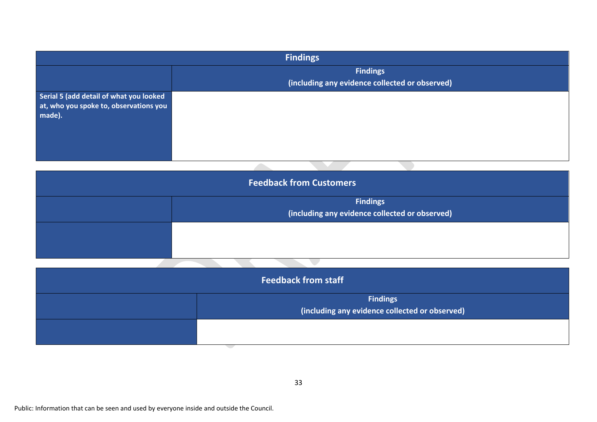| <b>Findings</b>                                                                             |                                                                   |  |  |
|---------------------------------------------------------------------------------------------|-------------------------------------------------------------------|--|--|
|                                                                                             | <b>Findings</b><br>(including any evidence collected or observed) |  |  |
| Serial 5 (add detail of what you looked<br>at, who you spoke to, observations you<br>made). |                                                                   |  |  |
|                                                                                             |                                                                   |  |  |

| <b>Feedback from Customers</b> |                                                |  |  |
|--------------------------------|------------------------------------------------|--|--|
|                                | <b>Findings</b>                                |  |  |
|                                | (including any evidence collected or observed) |  |  |
|                                |                                                |  |  |
|                                |                                                |  |  |
|                                |                                                |  |  |

| <b>Feedback from staff</b> |                                                                   |  |  |
|----------------------------|-------------------------------------------------------------------|--|--|
|                            | <b>Findings</b><br>(including any evidence collected or observed) |  |  |
|                            |                                                                   |  |  |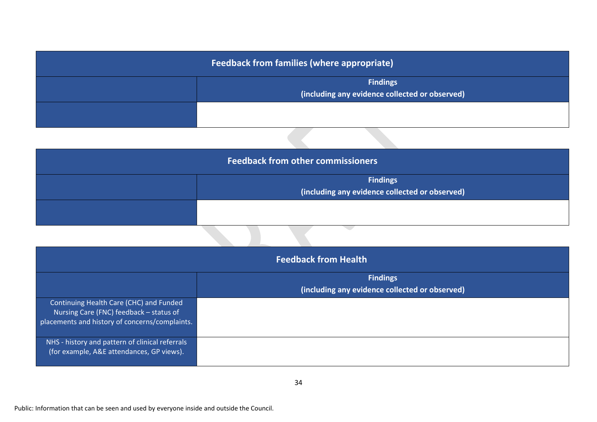| <b>Feedback from families (where appropriate)</b> |                                                |  |  |
|---------------------------------------------------|------------------------------------------------|--|--|
|                                                   | <b>Findings</b>                                |  |  |
|                                                   | (including any evidence collected or observed) |  |  |
|                                                   |                                                |  |  |
|                                                   |                                                |  |  |
|                                                   |                                                |  |  |

| <b>Feedback from other commissioners</b> |                                                                   |  |  |
|------------------------------------------|-------------------------------------------------------------------|--|--|
|                                          | <b>Findings</b><br>(including any evidence collected or observed) |  |  |
|                                          |                                                                   |  |  |

| <b>Feedback from Health</b>                     |                                                |  |  |
|-------------------------------------------------|------------------------------------------------|--|--|
|                                                 | <b>Findings</b>                                |  |  |
|                                                 | (including any evidence collected or observed) |  |  |
| Continuing Health Care (CHC) and Funded         |                                                |  |  |
| Nursing Care (FNC) feedback - status of         |                                                |  |  |
| placements and history of concerns/complaints.  |                                                |  |  |
| NHS - history and pattern of clinical referrals |                                                |  |  |
| (for example, A&E attendances, GP views).       |                                                |  |  |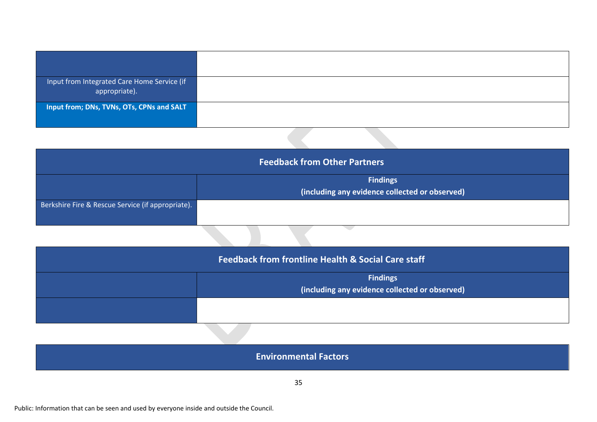| Input from Integrated Care Home Service (if<br>appropriate). |  |
|--------------------------------------------------------------|--|
| Input from; DNs, TVNs, OTs, CPNs and SALT                    |  |

| <b>Feedback from Other Partners</b>                    |  |  |  |  |  |  |
|--------------------------------------------------------|--|--|--|--|--|--|
| <b>Findings</b>                                        |  |  |  |  |  |  |
| $\vert$ (including any evidence collected or observed) |  |  |  |  |  |  |
| Berkshire Fire & Rescue Service (if appropriate).      |  |  |  |  |  |  |
|                                                        |  |  |  |  |  |  |

| <b>Feedback from frontline Health &amp; Social Care staff</b> |                                                                   |  |  |
|---------------------------------------------------------------|-------------------------------------------------------------------|--|--|
|                                                               | <b>Findings</b><br>(including any evidence collected or observed) |  |  |
|                                                               |                                                                   |  |  |

| <b>Environmental Factors</b> |  |
|------------------------------|--|
|                              |  |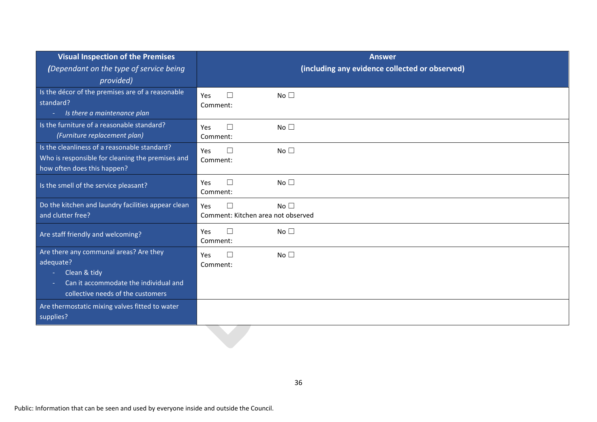| <b>Visual Inspection of the Premises</b>                                                                                                                    | <b>Answer</b>                                                          |  |  |
|-------------------------------------------------------------------------------------------------------------------------------------------------------------|------------------------------------------------------------------------|--|--|
| (Dependant on the type of service being<br>provided)                                                                                                        | (including any evidence collected or observed)                         |  |  |
| Is the décor of the premises are of a reasonable<br>standard?<br>Is there a maintenance plan<br>$\sim$                                                      | No <sub>1</sub><br>Yes<br>$\Box$<br>Comment:                           |  |  |
| Is the furniture of a reasonable standard?<br>(Furniture replacement plan)                                                                                  | No $\square$<br>Yes<br>$\Box$<br>Comment:                              |  |  |
| Is the cleanliness of a reasonable standard?<br>Who is responsible for cleaning the premises and<br>how often does this happen?                             | $\Box$<br>No <sub>1</sub><br>Yes<br>Comment:                           |  |  |
| Is the smell of the service pleasant?                                                                                                                       | No <sub>1</sub><br>$\Box$<br>Yes<br>Comment:                           |  |  |
| Do the kitchen and laundry facilities appear clean<br>and clutter free?                                                                                     | $\Box$<br>No <sup>T</sup><br>Yes<br>Comment: Kitchen area not observed |  |  |
| Are staff friendly and welcoming?                                                                                                                           | No $\square$<br>□<br>Yes<br>Comment:                                   |  |  |
| Are there any communal areas? Are they<br>adequate?<br>Clean & tidy<br>$\sim$<br>Can it accommodate the individual and<br>collective needs of the customers | No <sub>1</sub><br>Yes<br>□<br>Comment:                                |  |  |
| Are thermostatic mixing valves fitted to water<br>supplies?                                                                                                 |                                                                        |  |  |
|                                                                                                                                                             |                                                                        |  |  |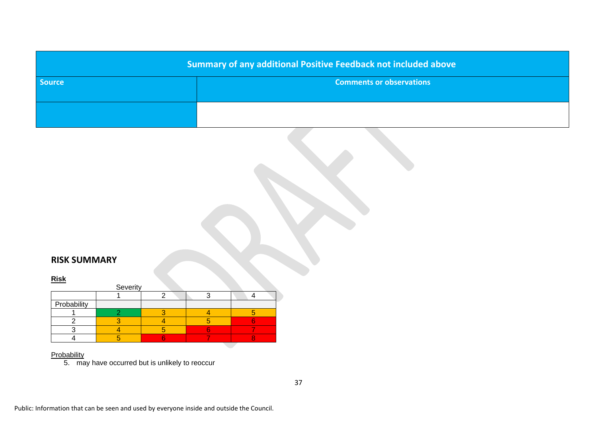| <b>Summary of any additional Positive Feedback not included above</b> |                                 |  |  |  |
|-----------------------------------------------------------------------|---------------------------------|--|--|--|
| <b>Source</b>                                                         | <b>Comments or observations</b> |  |  |  |
|                                                                       |                                 |  |  |  |

## **RISK SUMMARY**

#### **Risk**

|             | Severity |  |  |
|-------------|----------|--|--|
|             |          |  |  |
| Probability |          |  |  |
|             |          |  |  |
|             |          |  |  |
|             |          |  |  |
|             |          |  |  |

#### <u>Probability</u>

5. may have occurred but is unlikely to reoccur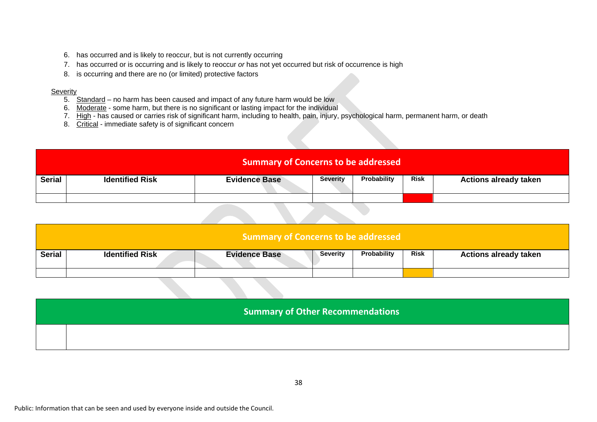- 6. has occurred and is likely to reoccur, but is not currently occurring
- 7. has occurred or is occurring and is likely to reoccur *or* has not yet occurred but risk of occurrence is high
- 8. is occurring and there are no (or limited) protective factors

#### Severity

- 5. Standard no harm has been caused and impact of any future harm would be low
- 6. Moderate some harm, but there is no significant or lasting impact for the individual
- 7. High has caused or carries risk of significant harm, including to health, pain, injury, psychological harm, permanent harm, or death
- 8. Critical immediate safety is of significant concern

|        | Summary of Concerns to be addressed |                      |          |             |             |                              |  |  |  |
|--------|-------------------------------------|----------------------|----------|-------------|-------------|------------------------------|--|--|--|
| Serial | <b>Identified Risk</b>              | <b>Evidence Base</b> | Severity | Probability | <b>Risk</b> | <b>Actions already taken</b> |  |  |  |
|        |                                     |                      |          |             |             |                              |  |  |  |

|               | <b>Summary of Concerns to be addressed</b> |                      |                 |             |             |                              |  |  |  |
|---------------|--------------------------------------------|----------------------|-----------------|-------------|-------------|------------------------------|--|--|--|
| <b>Serial</b> | <b>Identified Risk</b>                     | <b>Evidence Base</b> | <b>Severity</b> | Probability | <b>Risk</b> | <b>Actions already taken</b> |  |  |  |
|               |                                            |                      |                 |             |             |                              |  |  |  |

| <b>Summary of Other Recommendations</b> |
|-----------------------------------------|
|                                         |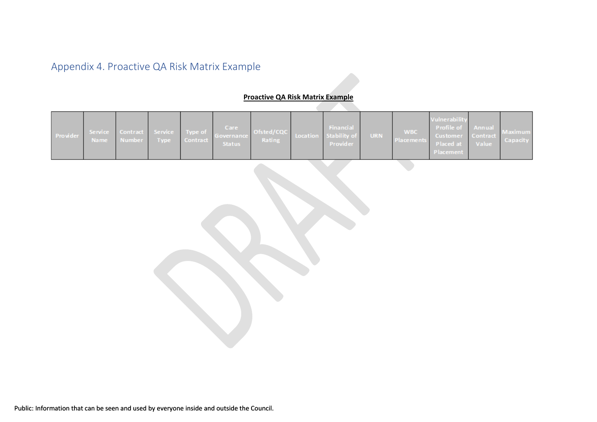# Appendix 4. Proactive QA Risk Matrix Example

### **Proactive QA Risk Matrix Example**

<span id="page-38-0"></span>

|  | Provider |  |  |  |  | Care | Service Contract Service Type of Governance Ofsted/CQC Location Stability of URN<br>Name Number Type Contract Status Rating Provider Provider |  | Financial |  |  | Vulnerability<br>WBC Profile of Annual Maximum<br>Placements Placed at Value Capacity<br>Placement |  |  |
|--|----------|--|--|--|--|------|-----------------------------------------------------------------------------------------------------------------------------------------------|--|-----------|--|--|----------------------------------------------------------------------------------------------------|--|--|
|--|----------|--|--|--|--|------|-----------------------------------------------------------------------------------------------------------------------------------------------|--|-----------|--|--|----------------------------------------------------------------------------------------------------|--|--|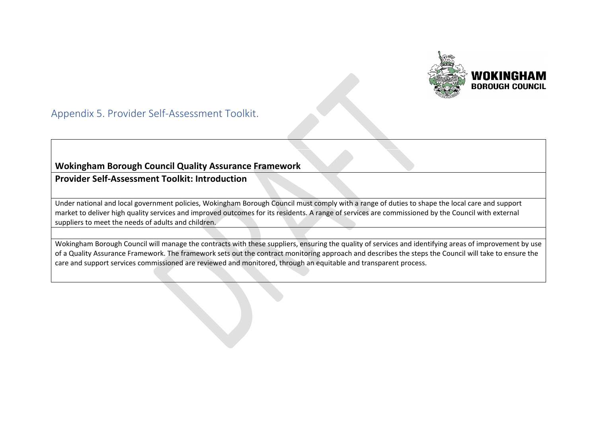

Appendix 5. Provider Self-Assessment Toolkit.

## **Wokingham Borough Council Quality Assurance Framework**

**Provider Self-Assessment Toolkit: Introduction**

Under national and local government policies, Wokingham Borough Council must comply with a range of duties to shape the local care and support market to deliver high quality services and improved outcomes for its residents. A range of services are commissioned by the Council with external suppliers to meet the needs of adults and children.

<span id="page-39-0"></span>Wokingham Borough Council will manage the contracts with these suppliers, ensuring the quality of services and identifying areas of improvement by use of a Quality Assurance Framework. The framework sets out the contract monitoring approach and describes the steps the Council will take to ensure the care and support services commissioned are reviewed and monitored, through an equitable and transparent process.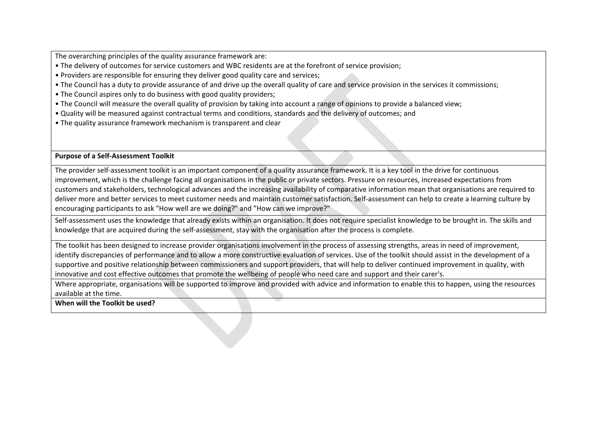The overarching principles of the quality assurance framework are:

- The delivery of outcomes for service customers and WBC residents are at the forefront of service provision;
- Providers are responsible for ensuring they deliver good quality care and services;
- The Council has a duty to provide assurance of and drive up the overall quality of care and service provision in the services it commissions;
- The Council aspires only to do business with good quality providers;
- The Council will measure the overall quality of provision by taking into account a range of opinions to provide a balanced view;
- Quality will be measured against contractual terms and conditions, standards and the delivery of outcomes; and
- The quality assurance framework mechanism is transparent and clear

**Purpose of a Self-Assessment Toolkit**

The provider self-assessment toolkit is an important component of a quality assurance framework. It is a key tool in the drive for continuous improvement, which is the challenge facing all organisations in the public or private sectors. Pressure on resources, increased expectations from customers and stakeholders, technological advances and the increasing availability of comparative information mean that organisations are required to deliver more and better services to meet customer needs and maintain customer satisfaction. Self-assessment can help to create a learning culture by encouraging participants to ask "How well are we doing?" and "How can we improve?"

Self-assessment uses the knowledge that already exists within an organisation. It does not require specialist knowledge to be brought in. The skills and knowledge that are acquired during the self-assessment, stay with the organisation after the process is complete.

The toolkit has been designed to increase provider organisations involvement in the process of assessing strengths, areas in need of improvement, identify discrepancies of performance and to allow a more constructive evaluation of services. Use of the toolkit should assist in the development of a supportive and positive relationship between commissioners and support providers, that will help to deliver continued improvement in quality, with innovative and cost effective outcomes that promote the wellbeing of people who need care and support and their carer's.

Where appropriate, organisations will be supported to improve and provided with advice and information to enable this to happen, using the resources available at the time.

**When will the Toolkit be used?**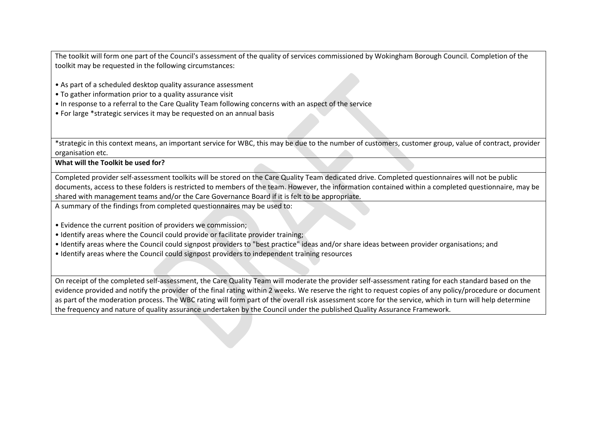The toolkit will form one part of the Council's assessment of the quality of services commissioned by Wokingham Borough Council. Completion of the toolkit may be requested in the following circumstances:

- As part of a scheduled desktop quality assurance assessment
- To gather information prior to a quality assurance visit
- In response to a referral to the Care Quality Team following concerns with an aspect of the service
- For large \*strategic services it may be requested on an annual basis

\*strategic in this context means, an important service for WBC, this may be due to the number of customers, customer group, value of contract, provider organisation etc.

**What will the Toolkit be used for?**

Completed provider self-assessment toolkits will be stored on the Care Quality Team dedicated drive. Completed questionnaires will not be public documents, access to these folders is restricted to members of the team. However, the information contained within a completed questionnaire, may be shared with management teams and/or the Care Governance Board if it is felt to be appropriate.

A summary of the findings from completed questionnaires may be used to:

- Evidence the current position of providers we commission;
- Identify areas where the Council could provide or facilitate provider training;
- Identify areas where the Council could signpost providers to "best practice" ideas and/or share ideas between provider organisations; and
- Identify areas where the Council could signpost providers to independent training resources

On receipt of the completed self-assessment, the Care Quality Team will moderate the provider self-assessment rating for each standard based on the evidence provided and notify the provider of the final rating within 2 weeks. We reserve the right to request copies of any policy/procedure or document as part of the moderation process. The WBC rating will form part of the overall risk assessment score for the service, which in turn will help determine the frequency and nature of quality assurance undertaken by the Council under the published Quality Assurance Framework.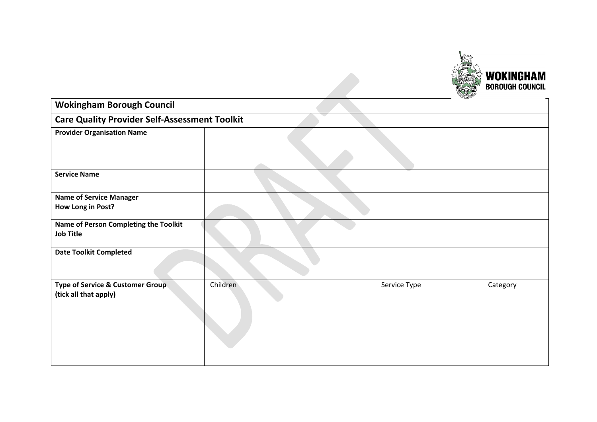

| <b>Wokingham Borough Council</b>                          |          |              |          |  |  |
|-----------------------------------------------------------|----------|--------------|----------|--|--|
| <b>Care Quality Provider Self-Assessment Toolkit</b>      |          |              |          |  |  |
| <b>Provider Organisation Name</b>                         |          |              |          |  |  |
| <b>Service Name</b>                                       |          |              |          |  |  |
| <b>Name of Service Manager</b>                            |          |              |          |  |  |
| How Long in Post?                                         |          |              |          |  |  |
| Name of Person Completing the Toolkit<br><b>Job Title</b> |          |              |          |  |  |
| <b>Date Toolkit Completed</b>                             |          |              |          |  |  |
| Type of Service & Customer Group<br>(tick all that apply) | Children | Service Type | Category |  |  |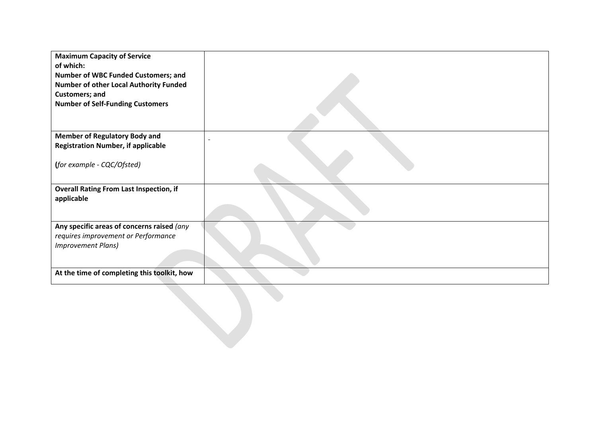| <b>Maximum Capacity of Service</b><br>of which:<br>Number of WBC Funded Customers; and<br>Number of other Local Authority Funded<br><b>Customers; and</b><br><b>Number of Self-Funding Customers</b> |  |
|------------------------------------------------------------------------------------------------------------------------------------------------------------------------------------------------------|--|
| <b>Member of Regulatory Body and</b>                                                                                                                                                                 |  |
| <b>Registration Number, if applicable</b>                                                                                                                                                            |  |
| (for example - CQC/Ofsted)                                                                                                                                                                           |  |
| <b>Overall Rating From Last Inspection, if</b><br>applicable                                                                                                                                         |  |
| Any specific areas of concerns raised (any<br>requires improvement or Performance                                                                                                                    |  |
| <b>Improvement Plans)</b>                                                                                                                                                                            |  |
|                                                                                                                                                                                                      |  |
| At the time of completing this toolkit, how                                                                                                                                                          |  |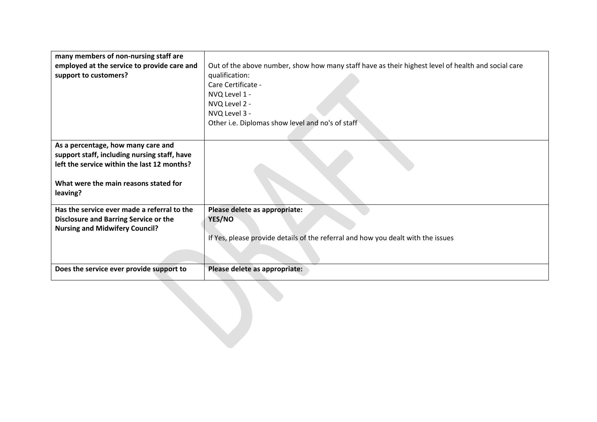| many members of non-nursing staff are        |                                                                                                    |
|----------------------------------------------|----------------------------------------------------------------------------------------------------|
| employed at the service to provide care and  | Out of the above number, show how many staff have as their highest level of health and social care |
| support to customers?                        | qualification:                                                                                     |
|                                              | Care Certificate -                                                                                 |
|                                              | NVQ Level 1 -                                                                                      |
|                                              | NVQ Level 2 -                                                                                      |
|                                              | NVQ Level 3 -                                                                                      |
|                                              | Other i.e. Diplomas show level and no's of staff                                                   |
|                                              |                                                                                                    |
| As a percentage, how many care and           |                                                                                                    |
| support staff, including nursing staff, have |                                                                                                    |
| left the service within the last 12 months?  |                                                                                                    |
|                                              |                                                                                                    |
| What were the main reasons stated for        |                                                                                                    |
| leaving?                                     |                                                                                                    |
| Has the service ever made a referral to the  | Please delete as appropriate:                                                                      |
| <b>Disclosure and Barring Service or the</b> | YES/NO                                                                                             |
| <b>Nursing and Midwifery Council?</b>        |                                                                                                    |
|                                              | If Yes, please provide details of the referral and how you dealt with the issues                   |
|                                              |                                                                                                    |
|                                              |                                                                                                    |
| Does the service ever provide support to     | Please delete as appropriate:                                                                      |
|                                              |                                                                                                    |
|                                              |                                                                                                    |
|                                              |                                                                                                    |
|                                              |                                                                                                    |
|                                              |                                                                                                    |
|                                              |                                                                                                    |
|                                              |                                                                                                    |
|                                              |                                                                                                    |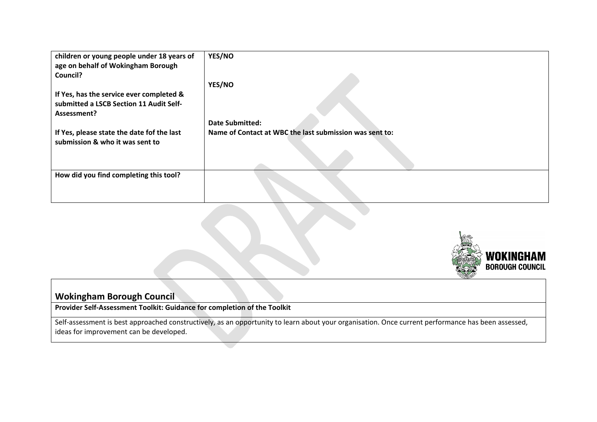| children or young people under 18 years of<br>age on behalf of Wokingham Borough<br>Council? | YES/NO                                                  |
|----------------------------------------------------------------------------------------------|---------------------------------------------------------|
|                                                                                              | YES/NO                                                  |
| If Yes, has the service ever completed &                                                     |                                                         |
| submitted a LSCB Section 11 Audit Self-                                                      |                                                         |
| Assessment?                                                                                  |                                                         |
|                                                                                              | <b>Date Submitted:</b>                                  |
| If Yes, please state the date fof the last<br>submission & who it was sent to                | Name of Contact at WBC the last submission was sent to: |
|                                                                                              |                                                         |
| How did you find completing this tool?                                                       |                                                         |



## **Wokingham Borough Council**

**Provider Self-Assessment Toolkit: Guidance for completion of the Toolkit**

Self-assessment is best approached constructively, as an opportunity to learn about your organisation. Once current performance has been assessed, ideas for improvement can be developed.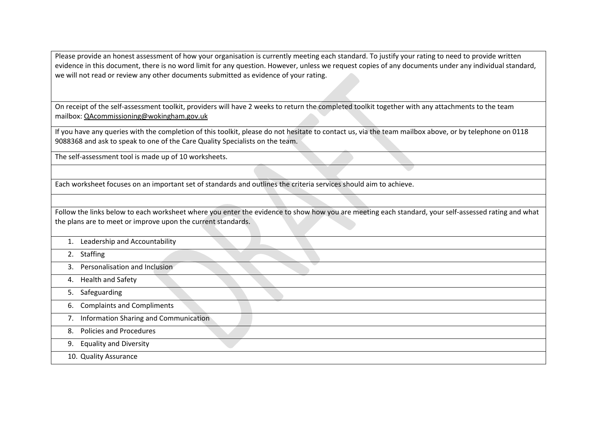Please provide an honest assessment of how your organisation is currently meeting each standard. To justify your rating to need to provide written evidence in this document, there is no word limit for any question. However, unless we request copies of any documents under any individual standard, we will not read or review any other documents submitted as evidence of your rating.

On receipt of the self-assessment toolkit, providers will have 2 weeks to return the completed toolkit together with any attachments to the team mailbox: QAcommissioning@wokingham.gov.uk

If you have any queries with the completion of this toolkit, please do not hesitate to contact us, via the team mailbox above, or by telephone on 0118 9088368 and ask to speak to one of the Care Quality Specialists on the team.

The self-assessment tool is made up of 10 worksheets.

Each worksheet focuses on an important set of standards and outlines the criteria services should aim to achieve.

Follow the links below to each worksheet where you enter the evidence to show how you are meeting each standard, your self-assessed rating and what the plans are to meet or improve upon the current standards.

- 1. Leadership and Accountability
- 2. Staffing

3. Personalisation and Inclusion

- 4. Health and Safety
- 5. Safeguarding
- 6. Complaints and Compliments
- 7. Information Sharing and Communication
- 8. Policies and Procedures
- 9. Equality and Diversity
- 10. Quality Assurance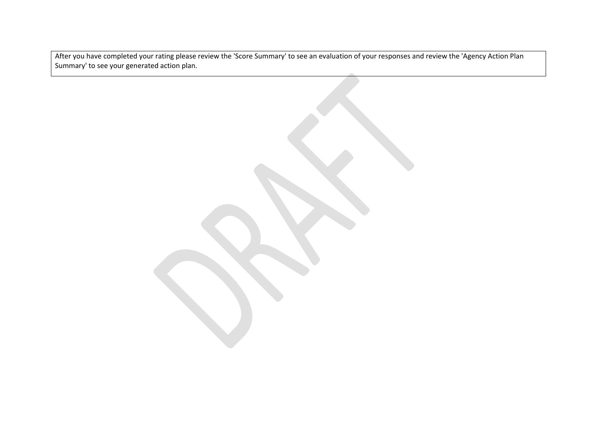After you have completed your rating please review the 'Score Summary' to see an evaluation of your responses and review the 'Agency Action Plan Summary' to see your generated action plan.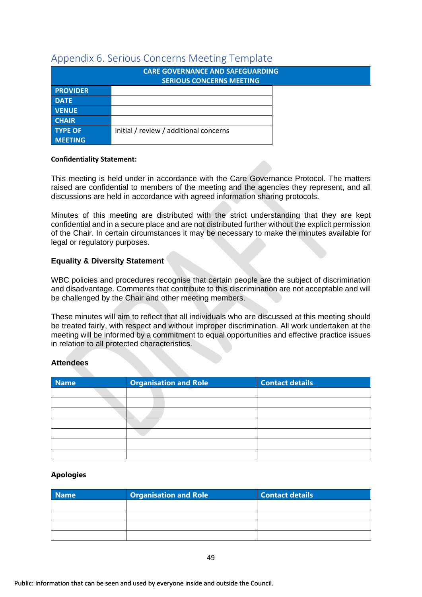## <span id="page-48-0"></span>Appendix 6. Serious Concerns Meeting Template

|                 | <b>CARE GOVERNANCE AND SAFEGUARDING</b> |  |
|-----------------|-----------------------------------------|--|
|                 | <b>SERIOUS CONCERNS MEETING</b>         |  |
| <b>PROVIDER</b> |                                         |  |
| <b>DATE</b>     |                                         |  |
| <b>VENUE</b>    |                                         |  |
| <b>CHAIR</b>    |                                         |  |
| <b>TYPE OF</b>  | initial / review / additional concerns  |  |
| <b>MEETING</b>  |                                         |  |

#### **Confidentiality Statement:**

This meeting is held under in accordance with the Care Governance Protocol. The matters raised are confidential to members of the meeting and the agencies they represent, and all discussions are held in accordance with agreed information sharing protocols.

Minutes of this meeting are distributed with the strict understanding that they are kept confidential and in a secure place and are not distributed further without the explicit permission of the Chair. In certain circumstances it may be necessary to make the minutes available for legal or regulatory purposes.

#### **Equality & Diversity Statement**

WBC policies and procedures recognise that certain people are the subject of discrimination and disadvantage. Comments that contribute to this discrimination are not acceptable and will be challenged by the Chair and other meeting members.

These minutes will aim to reflect that all individuals who are discussed at this meeting should be treated fairly, with respect and without improper discrimination. All work undertaken at the meeting will be informed by a commitment to equal opportunities and effective practice issues in relation to all protected characteristics.

#### **Attendees**

| <b>Name</b> | <b>Organisation and Role</b> | <b>Contact details</b> |
|-------------|------------------------------|------------------------|
|             |                              |                        |
|             |                              |                        |
|             |                              |                        |
|             |                              |                        |
|             |                              |                        |
|             |                              |                        |
|             |                              |                        |

#### **Apologies**

| <b>Name</b> | <b>Organisation and Role</b> | <b>Contact details</b> |
|-------------|------------------------------|------------------------|
|             |                              |                        |
|             |                              |                        |
|             |                              |                        |
|             |                              |                        |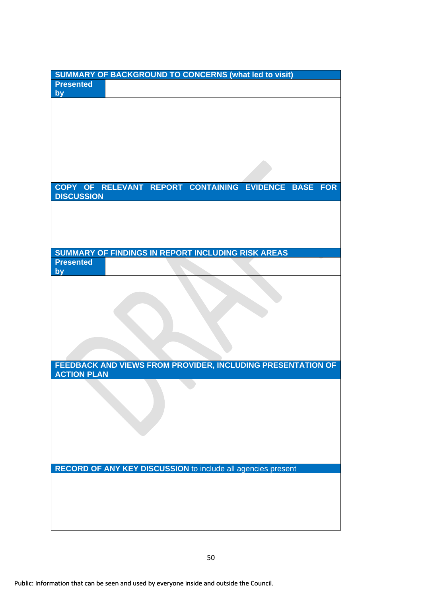|                    | <b>SUMMARY OF BACKGROUND TO CONCERNS (what led to visit)</b>        |  |            |
|--------------------|---------------------------------------------------------------------|--|------------|
| <b>Presented</b>   |                                                                     |  |            |
| by                 |                                                                     |  |            |
|                    |                                                                     |  |            |
|                    |                                                                     |  |            |
|                    |                                                                     |  |            |
|                    |                                                                     |  |            |
|                    |                                                                     |  |            |
|                    |                                                                     |  |            |
|                    |                                                                     |  |            |
|                    |                                                                     |  |            |
|                    | COPY OF RELEVANT REPORT CONTAINING EVIDENCE BASE                    |  | <b>FOR</b> |
| <b>DISCUSSION</b>  |                                                                     |  |            |
|                    |                                                                     |  |            |
|                    |                                                                     |  |            |
|                    |                                                                     |  |            |
|                    |                                                                     |  |            |
|                    | SUMMARY OF FINDINGS IN REPORT INCLUDING RISK AREAS                  |  |            |
| <b>Presented</b>   |                                                                     |  |            |
| by                 |                                                                     |  |            |
|                    |                                                                     |  |            |
|                    |                                                                     |  |            |
|                    |                                                                     |  |            |
|                    |                                                                     |  |            |
|                    |                                                                     |  |            |
|                    |                                                                     |  |            |
|                    |                                                                     |  |            |
|                    |                                                                     |  |            |
| <b>ACTION PLAN</b> | FEEDBACK AND VIEWS FROM PROVIDER, INCLUDING PRESENTATION OF         |  |            |
|                    |                                                                     |  |            |
|                    |                                                                     |  |            |
|                    |                                                                     |  |            |
|                    |                                                                     |  |            |
|                    |                                                                     |  |            |
|                    |                                                                     |  |            |
|                    |                                                                     |  |            |
|                    |                                                                     |  |            |
|                    | <b>RECORD OF ANY KEY DISCUSSION to include all agencies present</b> |  |            |
|                    |                                                                     |  |            |
|                    |                                                                     |  |            |
|                    |                                                                     |  |            |
|                    |                                                                     |  |            |
|                    |                                                                     |  |            |
|                    |                                                                     |  |            |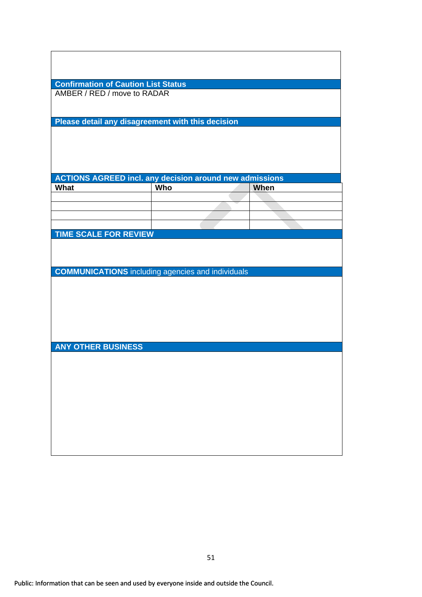| AMBER / RED / move to RADAR  | <b>Confirmation of Caution List Status</b>                     |      |
|------------------------------|----------------------------------------------------------------|------|
|                              |                                                                |      |
|                              |                                                                |      |
|                              | Please detail any disagreement with this decision              |      |
|                              |                                                                |      |
|                              |                                                                |      |
|                              |                                                                |      |
|                              |                                                                |      |
|                              | <b>ACTIONS AGREED incl. any decision around new admissions</b> |      |
| What                         | Who                                                            | When |
|                              |                                                                |      |
|                              |                                                                |      |
|                              |                                                                |      |
| <b>TIME SCALE FOR REVIEW</b> |                                                                |      |
|                              | <b>COMMUNICATIONS</b> including agencies and individuals       |      |
|                              |                                                                |      |
| <b>ANY OTHER BUSINESS</b>    |                                                                |      |
|                              |                                                                |      |
|                              |                                                                |      |
|                              |                                                                |      |
|                              |                                                                |      |
|                              |                                                                |      |
|                              |                                                                |      |
|                              |                                                                |      |
|                              |                                                                |      |
|                              |                                                                |      |
|                              |                                                                |      |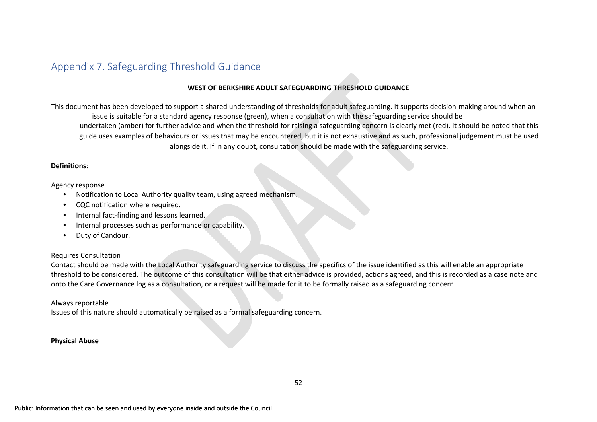# Appendix 7. Safeguarding Threshold Guidance

#### **WEST OF BERKSHIRE ADULT SAFEGUARDING THRESHOLD GUIDANCE**

This document has been developed to support a shared understanding of thresholds for adult safeguarding. It supports decision-making around when an issue is suitable for a standard agency response (green), when a consultation with the safeguarding service should be undertaken (amber) for further advice and when the threshold for raising a safeguarding concern is clearly met (red). It should be noted that this guide uses examples of behaviours or issues that may be encountered, but it is not exhaustive and as such, professional judgement must be used alongside it. If in any doubt, consultation should be made with the safeguarding service.

#### **Definitions**:

#### Agency response

- Notification to Local Authority quality team, using agreed mechanism.
- CQC notification where required.
- Internal fact-finding and lessons learned.
- Internal processes such as performance or capability.
- <span id="page-51-0"></span>• Duty of Candour.

#### Requires Consultation

Contact should be made with the Local Authority safeguarding service to discuss the specifics of the issue identified as this will enable an appropriate threshold to be considered. The outcome of this consultation will be that either advice is provided, actions agreed, and this is recorded as a case note and onto the Care Governance log as a consultation, or a request will be made for it to be formally raised as a safeguarding concern.

#### Always reportable

Issues of this nature should automatically be raised as a formal safeguarding concern.

#### **Physical Abuse**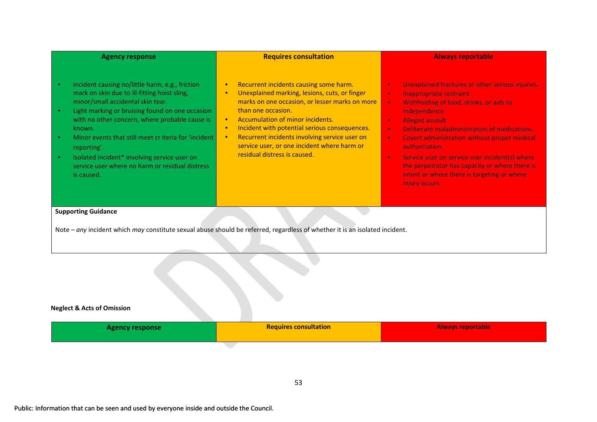| <b>Agency response</b>                                                                                                                                                                                                                                                                                                                                                                                                                                                                          | <b>Requires consultation</b>                                                                                                                                                                                                                                                                                                                                                                                                                          | <b>Always reportable</b>                                                                                                                                                                                                                                                                                                                                                                                                                                                                                                                       |
|-------------------------------------------------------------------------------------------------------------------------------------------------------------------------------------------------------------------------------------------------------------------------------------------------------------------------------------------------------------------------------------------------------------------------------------------------------------------------------------------------|-------------------------------------------------------------------------------------------------------------------------------------------------------------------------------------------------------------------------------------------------------------------------------------------------------------------------------------------------------------------------------------------------------------------------------------------------------|------------------------------------------------------------------------------------------------------------------------------------------------------------------------------------------------------------------------------------------------------------------------------------------------------------------------------------------------------------------------------------------------------------------------------------------------------------------------------------------------------------------------------------------------|
| Incident causing no/little harm, e.g., friction<br>$\bullet$<br>mark on skin due to ill-fitting hoist sling,<br>minor/small accidental skin tear.<br>Light marking or bruising found on one occasion<br>$\bullet$<br>with no other concern, where probable cause is<br>known.<br>Minor events that still meet cr iteria for 'incident<br>$\bullet$<br>reporting'.<br>Isolated incident* involving service user on<br>$\bullet$<br>service user where no harm or residual distress<br>is caused. | Recurrent incidents causing some harm.<br>$\bullet$<br>Unexplained marking, lesions, cuts, or finger<br>$\bullet$<br>marks on one occasion, or lesser marks on more<br>than one occasion.<br>Accumulation of minor incidents.<br>$\bullet$<br>Incident with potential serious consequences.<br>$\bullet$<br>Recurrent incidents involving service user on<br>$\bullet$<br>service user, or one incident where harm or<br>residual distress is caused. | Unexplained fractures or other serious injuries.<br>$\bullet$<br>Inappropriate restraint.<br>$\bullet$<br>Withholding of food, drinks, or aids to<br>$\bullet$<br>independence.<br>Alleged assault.<br>$\bullet$<br>Deliberate maladministration of medications.<br>$\bullet$<br>Covert administration without proper medical<br>$\bullet$<br>authorisation.<br>Service user on service user incident(s) where<br>$\bullet$<br>the perpetrator has capacity or where there is<br>intent or where there is targeting or where<br>injury occurs. |
| <b>Supporting Guidance</b>                                                                                                                                                                                                                                                                                                                                                                                                                                                                      | Note - any incident which may constitute sexual abuse should be referred, regardless of whether it is an isolated incident.                                                                                                                                                                                                                                                                                                                           |                                                                                                                                                                                                                                                                                                                                                                                                                                                                                                                                                |
| <b>Neglect &amp; Acts of Omission</b>                                                                                                                                                                                                                                                                                                                                                                                                                                                           |                                                                                                                                                                                                                                                                                                                                                                                                                                                       |                                                                                                                                                                                                                                                                                                                                                                                                                                                                                                                                                |
| <b>Agency response</b>                                                                                                                                                                                                                                                                                                                                                                                                                                                                          | <b>Requires consultation</b>                                                                                                                                                                                                                                                                                                                                                                                                                          | <b>Always reportable</b>                                                                                                                                                                                                                                                                                                                                                                                                                                                                                                                       |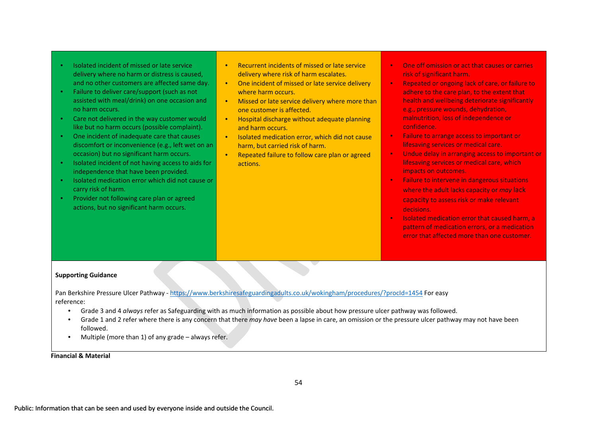- Isolated incident of missed or late service delivery where no harm or distress is caused, and no other customers are affected same day.
- Failure to deliver care/support (such as not assisted with meal/drink) on one occasion and no harm occurs.
- Care not delivered in the way customer would like but no harm occurs (possible complaint).
- One incident of inadequate care that causes discomfort or inconvenience (e.g., left wet on an occasion) but no significant harm occurs.
- Isolated incident of not having access to aids for independence that have been provided.
- Isolated medication error which did not cause or carry risk of harm.
- Provider not following care plan or agreed actions, but no significant harm occurs.
- Recurrent incidents of missed or late service delivery where risk of harm escalates.
- One incident of missed or late service delivery where harm occurs.
- Missed or late service delivery where more than one customer is affected.
- Hospital discharge without adequate planning and harm occurs.
- Isolated medication error, which did not cause harm, but carried risk of harm.
- Repeated failure to follow care plan or agreed actions.
- One off omission or act that causes or carries risk of significant harm.
- Repeated or ongoing lack of care, or failure to adhere to the care plan, to the extent that health and wellbeing deteriorate significantly e.g., pressure wounds, dehydration, malnutrition, loss of independence or confidence.
- Failure to arrange access to important or lifesaving services or medical care.
- Undue delay in arranging access to important or lifesaving services or medical care, which impacts on outcomes.
- Failure to intervene in dangerous situations where the adult lacks capacity or *may* lack capacity to assess risk or make relevant decisions.
- Isolated medication error that caused harm, a pattern of medication errors, or a medication error that affected more than one customer.

#### **Supporting Guidance**

Pan Berkshire Pressure Ulcer Pathway [-](https://www.berkshiresafeguardingadults.co.uk/wokingham/procedures/?procId=1454) <https://www.berkshiresafeguardingadults.co.uk/wokingham/procedures/?procId=1454> [F](https://www.berkshiresafeguardingadults.co.uk/wokingham/procedures/?procId=1454)or easy reference:

- Grade 3 and 4 *always* refer as Safeguarding with as much information as possible about how pressure ulcer pathway was followed.
- Grade 1 and 2 refer where there is any concern that there *may have* been a lapse in care, an omission or the pressure ulcer pathway may not have been followed.
- Multiple (more than 1) of any grade always refer.

**Financial & Material**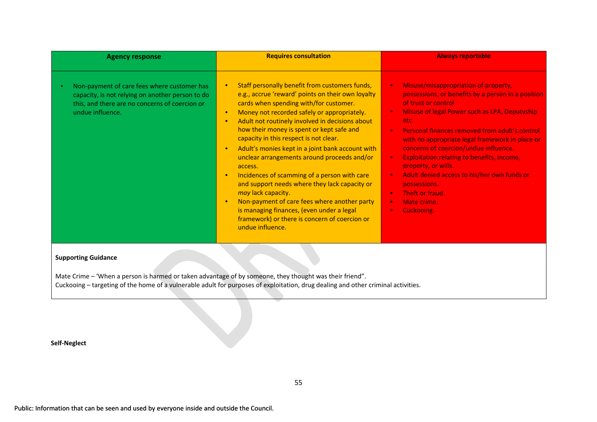| <b>Agency response</b>                                                                                                                                                | <b>Requires consultation</b>                                                                                                                                                                                                                                                                                                                                                                                                                                                                                                                                                                                                                                                                                                                                                                                                | <b>Always reportable</b>                                                                                                                                                                                                                                                                                                                                                                                                                                                                                                                                                |
|-----------------------------------------------------------------------------------------------------------------------------------------------------------------------|-----------------------------------------------------------------------------------------------------------------------------------------------------------------------------------------------------------------------------------------------------------------------------------------------------------------------------------------------------------------------------------------------------------------------------------------------------------------------------------------------------------------------------------------------------------------------------------------------------------------------------------------------------------------------------------------------------------------------------------------------------------------------------------------------------------------------------|-------------------------------------------------------------------------------------------------------------------------------------------------------------------------------------------------------------------------------------------------------------------------------------------------------------------------------------------------------------------------------------------------------------------------------------------------------------------------------------------------------------------------------------------------------------------------|
| Non-payment of care fees where customer has<br>capacity, is not relying on another person to do<br>this, and there are no concerns of coercion or<br>undue influence. | Staff personally benefit from customers funds,<br>$\bullet$<br>e.g., accrue 'reward' points on their own loyalty<br>cards when spending with/for customer.<br>Money not recorded safely or appropriately.<br>$\bullet$<br>Adult not routinely involved in decisions about<br>$\bullet$<br>how their money is spent or kept safe and<br>capacity in this respect is not clear.<br>Adult's monies kept in a joint bank account with<br>$\bullet$<br>unclear arrangements around proceeds and/or<br>access.<br>Incidences of scamming of a person with care<br>$\bullet$<br>and support needs where they lack capacity or<br>may lack capacity.<br>Non-payment of care fees where another party<br>$\bullet$<br>is managing finances, (even under a legal<br>framework) or there is concern of coercion or<br>undue influence. | Misuse/misappropriation of property,<br>$\bullet$<br>possessions, or benefits by a person in a position<br>of trust or control<br>Misuse of legal Power such as LPA, Deputyship<br>etc.<br>Personal finances removed from adult's control<br>$\bullet$<br>with no appropriate legal framework in place or<br>concerns of coercion/undue influence.<br><b>Exploitation relating to benefits, income,</b><br>property, or wills.<br>Adult denied access to his/her own funds or<br>possessions.<br>Theft or fraud.<br>$\bullet$<br>Mate crime.<br>$\bullet$<br>Cuckooing. |
| <b>Supporting Guidance</b>                                                                                                                                            |                                                                                                                                                                                                                                                                                                                                                                                                                                                                                                                                                                                                                                                                                                                                                                                                                             |                                                                                                                                                                                                                                                                                                                                                                                                                                                                                                                                                                         |

Mate Crime – 'When a person is harmed or taken advantage of by someone, they thought was their friend". Cuckooing – targeting of the home of a vulnerable adult for purposes of exploitation, drug dealing and other criminal activities.

**Self-Neglect**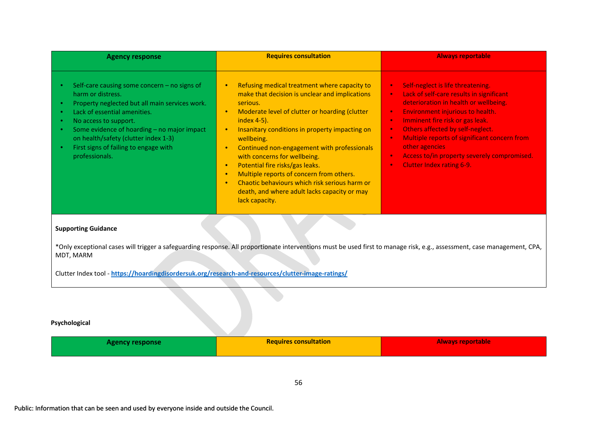| <b>Agency response</b>                                                                                                                                                                                                                                                                                                         | <b>Requires consultation</b>                                                                                                                                                                                                                                                                                                                                                                                                                                                                                                                                                                                           | <b>Always reportable</b>                                                                                                                                                                                                                                                                                                                                                                                                                                                                       |
|--------------------------------------------------------------------------------------------------------------------------------------------------------------------------------------------------------------------------------------------------------------------------------------------------------------------------------|------------------------------------------------------------------------------------------------------------------------------------------------------------------------------------------------------------------------------------------------------------------------------------------------------------------------------------------------------------------------------------------------------------------------------------------------------------------------------------------------------------------------------------------------------------------------------------------------------------------------|------------------------------------------------------------------------------------------------------------------------------------------------------------------------------------------------------------------------------------------------------------------------------------------------------------------------------------------------------------------------------------------------------------------------------------------------------------------------------------------------|
| Self-care causing some concern - no signs of<br>harm or distress.<br>Property neglected but all main services work.<br>Lack of essential amenities.<br>No access to support.<br>Some evidence of hoarding - no major impact<br>on health/safety (clutter index 1-3)<br>First signs of failing to engage with<br>professionals. | Refusing medical treatment where capacity to<br>$\bullet$<br>make that decision is unclear and implications<br>serious.<br>Moderate level of clutter or hoarding (clutter<br>$\bullet$<br>index 4-5).<br>Insanitary conditions in property impacting on<br>$\bullet$<br>wellbeing.<br>Continued non-engagement with professionals<br>$\bullet$<br>with concerns for wellbeing.<br>Potential fire risks/gas leaks.<br>$\bullet$<br>Multiple reports of concern from others.<br>$\bullet$<br>Chaotic behaviours which risk serious harm or<br><b>C</b><br>death, and where adult lacks capacity or may<br>lack capacity. | Self-neglect is life threatening.<br>$\bullet$<br>Lack of self-care results in significant<br>$\bullet$<br>deterioration in health or wellbeing.<br>Environment injurious to health.<br>$\bullet$<br>Imminent fire risk or gas leak.<br>$\bullet$<br>Others affected by self-neglect.<br>$\bullet$<br>Multiple reports of significant concern from<br>$\bullet$<br>other agencies<br>Access to/in property severely compromised.<br>$\bullet$<br><b>Clutter Index rating 6-9.</b><br>$\bullet$ |
| <b>Supporting Guidance</b>                                                                                                                                                                                                                                                                                                     |                                                                                                                                                                                                                                                                                                                                                                                                                                                                                                                                                                                                                        |                                                                                                                                                                                                                                                                                                                                                                                                                                                                                                |
| MDT, MARM<br>Clutter Index tool - https://hoardingdisordersuk.org/research-and-resources/clutter-image-ratings/                                                                                                                                                                                                                | *Only exceptional cases will trigger a safeguarding response. All proportionate interventions must be used first to manage risk, e.g., assessment, case management, CPA,                                                                                                                                                                                                                                                                                                                                                                                                                                               |                                                                                                                                                                                                                                                                                                                                                                                                                                                                                                |
| Psychological                                                                                                                                                                                                                                                                                                                  |                                                                                                                                                                                                                                                                                                                                                                                                                                                                                                                                                                                                                        |                                                                                                                                                                                                                                                                                                                                                                                                                                                                                                |

| <b>Agency response</b> | <b>Requires consultation</b> | <b>Always reportable</b> |
|------------------------|------------------------------|--------------------------|
|                        |                              |                          |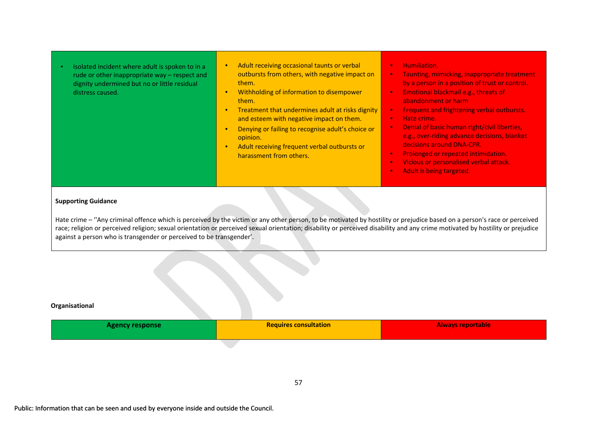- Isolated incident where adult is spoken to in a rude or other inappropriate way – respect and dignity undermined but no or little residual distress caused.
- Adult receiving occasional taunts or verbal outbursts from others, with negative impact on them.
- Withholding of information to disempower them.
- Treatment that undermines adult at risks dignity and esteem with negative impact on them.
- Denying or failing to recognise adult's choice or opinion.
- Adult receiving frequent verbal outbursts or harassment from others.
- Humiliation.
- Taunting, mimicking, inappropriate treatment by a person in a position of trust or control.
- Emotional blackmail e.g., threats of abandonment or harm
- Frequent and frightening verbal outbursts.
- Hate crime.
- Denial of basic human right/civil liberties, e.g., over-riding advance decisions, blanket decisions around DNA-CPR.
- Prolonged or repeated intimidation.
- Vicious or personalised verbal attack.
- Adult is being targeted.

#### **Supporting Guidance**

Hate crime – "Any criminal offence which is perceived by the victim or any other person, to be motivated by hostility or prejudice based on a person's race or perceived race; religion or perceived religion; sexual orientation or perceived sexual orientation; disability or perceived disability and any crime motivated by hostility or prejudice against a person who is transgender or perceived to be transgender'.

#### **Organisational**

| <b>Agency response</b> | <b>Requires consultation</b> | <b>Always reportable</b> |
|------------------------|------------------------------|--------------------------|
|                        |                              |                          |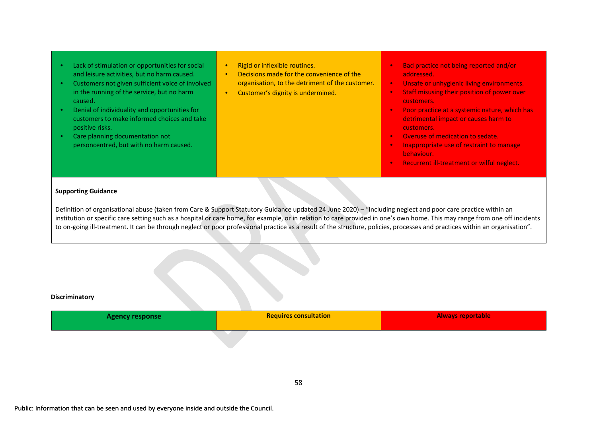| positive risks.<br>customers.<br>Care planning documentation not<br>Overuse of medication to sedate.<br>$\bullet$<br>personcentred, but with no harm caused.<br>Inappropriate use of restraint to manage<br>behaviour.<br>Recurrent ill-treatment or wilful neglect.<br>$\bullet$ | Lack of stimulation or opportunities for social<br>Rigid or inflexible routines.<br>$\bullet$<br>Decisions made for the convenience of the<br>and leisure activities, but no harm caused.<br>addressed.<br>organisation, to the detriment of the customer.<br>Customers not given sufficient voice of involved<br>in the running of the service, but no harm<br>Customer's dignity is undermined.<br>caused.<br>customers.<br>Denial of individuality and opportunities for<br>customers to make informed choices and take<br>detrimental impact or causes harm to | Bad practice not being reported and/or<br>Unsafe or unhygienic living environments.<br>Staff misusing their position of power over<br>Poor practice at a systemic nature, which has |
|-----------------------------------------------------------------------------------------------------------------------------------------------------------------------------------------------------------------------------------------------------------------------------------|--------------------------------------------------------------------------------------------------------------------------------------------------------------------------------------------------------------------------------------------------------------------------------------------------------------------------------------------------------------------------------------------------------------------------------------------------------------------------------------------------------------------------------------------------------------------|-------------------------------------------------------------------------------------------------------------------------------------------------------------------------------------|
|-----------------------------------------------------------------------------------------------------------------------------------------------------------------------------------------------------------------------------------------------------------------------------------|--------------------------------------------------------------------------------------------------------------------------------------------------------------------------------------------------------------------------------------------------------------------------------------------------------------------------------------------------------------------------------------------------------------------------------------------------------------------------------------------------------------------------------------------------------------------|-------------------------------------------------------------------------------------------------------------------------------------------------------------------------------------|

#### **Supporting Guidance**

Definition of organisational abuse (taken from Care & Support Statutory Guidance updated 24 June 2020) – "Including neglect and poor care practice within an institution or specific care setting such as a hospital or care home, for example, or in relation to care provided in one's own home. This may range from one off incidents to on-going ill-treatment. It can be through neglect or poor professional practice as a result of the structure, policies, processes and practices within an organisation".

#### **Discriminatory**

| <b>Agency response</b> | <b>Requires consultation</b> | <b>Always reportable</b> |
|------------------------|------------------------------|--------------------------|
|                        |                              |                          |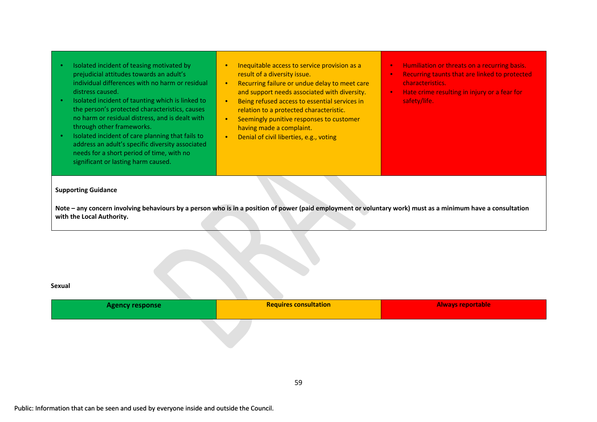| Isolated incident of teasing motivated by<br>prejudicial attitudes towards an adult's<br>individual differences with no harm or residual<br>distress caused.<br>Isolated incident of taunting which is linked to<br>the person's protected characteristics, causes<br>no harm or residual distress, and is dealt with<br>through other frameworks.<br>Isolated incident of care planning that fails to<br>address an adult's specific diversity associated<br>needs for a short period of time, with no<br>significant or lasting harm caused. | Inequitable access to service provision as a<br>result of a diversity issue.<br>Recurring failure or undue delay to meet care<br>$\bullet$<br>and support needs associated with diversity.<br>Being refused access to essential services in<br>$\bullet$<br>relation to a protected characteristic.<br>Seemingly punitive responses to customer<br>$\bullet$<br>having made a complaint.<br>Denial of civil liberties, e.g., voting<br>$\bullet$ | Humiliation or threats on a recurring basis.<br>$\bullet$<br>Recurring taunts that are linked to protected<br>$\bullet$<br>characteristics.<br>Hate crime resulting in injury or a fear for<br>$\bullet$<br>safety/life. |
|------------------------------------------------------------------------------------------------------------------------------------------------------------------------------------------------------------------------------------------------------------------------------------------------------------------------------------------------------------------------------------------------------------------------------------------------------------------------------------------------------------------------------------------------|--------------------------------------------------------------------------------------------------------------------------------------------------------------------------------------------------------------------------------------------------------------------------------------------------------------------------------------------------------------------------------------------------------------------------------------------------|--------------------------------------------------------------------------------------------------------------------------------------------------------------------------------------------------------------------------|
| <b>Supporting Guidance</b><br>Note - any concern involving behaviours by a person who is in a position of power (paid employment or voluntary work) must as a minimum have a consultation<br>with the Local Authority.                                                                                                                                                                                                                                                                                                                         |                                                                                                                                                                                                                                                                                                                                                                                                                                                  |                                                                                                                                                                                                                          |

#### **Sexual**

| <b>Agency response</b> | <b>Requires consultation</b> | <b>Always reportable</b> |
|------------------------|------------------------------|--------------------------|
|                        |                              |                          |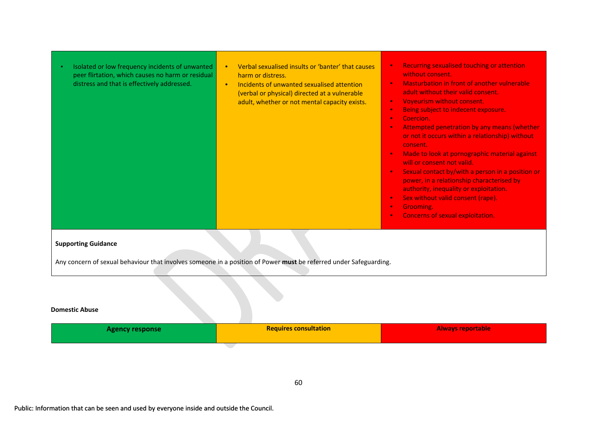| Isolated or low frequency incidents of unwanted<br>peer flirtation, which causes no harm or residual<br>distress and that is effectively addressed. | Verbal sexualised insults or 'banter' that causes<br>$\bullet$<br>harm or distress.<br>Incidents of unwanted sexualised attention<br>$\bullet$<br>(verbal or physical) directed at a vulnerable<br>adult, whether or not mental capacity exists. | <b>Recurring sexualised touching or attention</b><br>$\bullet$<br>without consent.<br>Masturbation in front of another vulnerable<br>$\bullet$<br>adult without their valid consent.<br>Voyeurism without consent.<br>$\bullet$<br>Being subject to indecent exposure.<br>$\bullet$<br>Coercion.<br>$\bullet$<br>Attempted penetration by any means (whether<br>$\bullet$<br>or not it occurs within a relationship) without<br>consent.<br>Made to look at pornographic material against<br>$\bullet$<br>will or consent not valid.<br>Sexual contact by/with a person in a position or<br>$\bullet$<br>power, in a relationship characterised by<br>authority, inequality or exploitation.<br>Sex without valid consent (rape).<br>$\bullet$<br>Grooming.<br>$\bullet$<br>Concerns of sexual exploitation.<br>$\bullet$ |  |
|-----------------------------------------------------------------------------------------------------------------------------------------------------|--------------------------------------------------------------------------------------------------------------------------------------------------------------------------------------------------------------------------------------------------|---------------------------------------------------------------------------------------------------------------------------------------------------------------------------------------------------------------------------------------------------------------------------------------------------------------------------------------------------------------------------------------------------------------------------------------------------------------------------------------------------------------------------------------------------------------------------------------------------------------------------------------------------------------------------------------------------------------------------------------------------------------------------------------------------------------------------|--|
| <b>Supporting Guidance</b><br>Any concern of sexual behaviour that involves someone in a position of Power must be referred under Safeguarding.     |                                                                                                                                                                                                                                                  |                                                                                                                                                                                                                                                                                                                                                                                                                                                                                                                                                                                                                                                                                                                                                                                                                           |  |

#### **Domestic Abuse**

| <b>Agency response</b> | <b>Requires consultation</b> | <b>Always reportable</b> |
|------------------------|------------------------------|--------------------------|
|                        |                              |                          |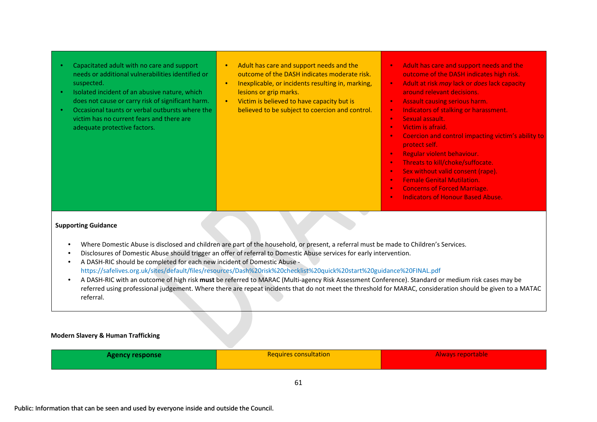- Capacitated adult with no care and support needs or additional vulnerabilities identified or suspected.
- Isolated incident of an abusive nature, which does not cause or carry risk of significant harm.
- Occasional taunts or verbal outbursts where the victim has no current fears and there are adequate protective factors.
- Adult has care and support needs and the outcome of the DASH indicates moderate risk.
- Inexplicable, or incidents resulting in, marking, lesions or grip marks.
- Victim is believed to have capacity but is believed to be subject to coercion and control.
- Adult has care and support needs and the outcome of the DASH indicates high risk.
- Adult at risk *may* lack or *does* lack capacity around relevant decisions.
- Assault causing serious harm.
- Indicators of stalking or harassment.
- Sexual assault.
- Victim is afraid.
- Coercion and control impacting victim's ability to protect self.
- Regular violent behaviour.
- Threats to kill/choke/suffocate.
- Sex without valid consent (rape).
- Female Genital Mutilation.
- Concerns of Forced Marriage.
- Indicators of Honour Based Abuse.

#### **Supporting Guidance**

- Where Domestic Abuse is disclosed and children are part of the household, or present, a referral must be made to Children's Services.
- Disclosures of Domestic Abuse should trigger an offer of referral to Domestic Abuse services for early intervention.
- A DASH-RIC should be completed for each new incident of Domestic Abuse https://safelives.org.uk/sites/default/files/resources/Dash%20risk%20checklist%20quick%20start%20guidance%20FINAL.pdf
- A DASH-RIC with an outcome of high risk **must** be referred to MARAC (Multi-agency Risk Assessment Conference). Standard or medium risk cases may be referred using professional judgement. Where there are repeat incidents that do not meet the threshold for MARAC, consideration should be given to a MATAC referral.

#### **Modern Slavery & Human Trafficking**

| <b>Agency response</b> | <b>Requires consultation</b> | Always reportable |
|------------------------|------------------------------|-------------------|
|                        |                              |                   |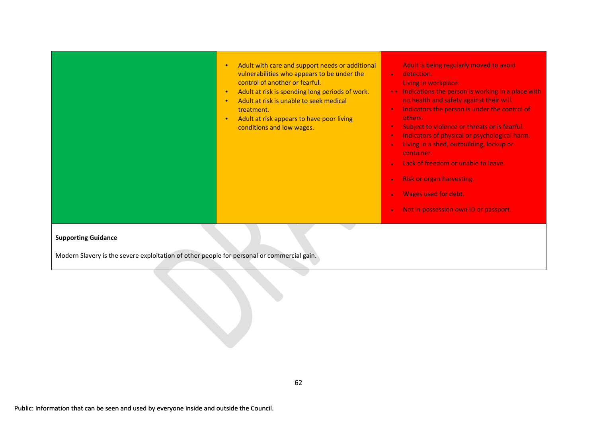|  | Adult with care and support needs or additional<br>vulnerabilities who appears to be under the<br>control of another or fearful.<br>Adult at risk is spending long periods of work.<br>Adult at risk is unable to seek medical<br>treatment.<br>Adult at risk appears to have poor living<br>conditions and low wages. | Adult is being regularly moved to avoid<br>detection.<br>$\bullet$<br>Living in workplace.<br>Indications the person is working in a place with<br>no health and safety against their will.<br>Indicators the person is under the control of<br>$\bullet$<br>others.<br>Subject to violence or threats or is fearful.<br>Indicators of physical or psychological harm.<br>$\bullet$<br>Living in a shed, outbuilding, lockup or<br>$\bullet$<br>container.<br>Lack of freedom or unable to leave.<br><b>Risk or organ harvesting.</b><br>$\bullet$<br>Wages used for debt.<br>Not in possession own ID or passport.<br>$\bullet$ |
|--|------------------------------------------------------------------------------------------------------------------------------------------------------------------------------------------------------------------------------------------------------------------------------------------------------------------------|----------------------------------------------------------------------------------------------------------------------------------------------------------------------------------------------------------------------------------------------------------------------------------------------------------------------------------------------------------------------------------------------------------------------------------------------------------------------------------------------------------------------------------------------------------------------------------------------------------------------------------|
|--|------------------------------------------------------------------------------------------------------------------------------------------------------------------------------------------------------------------------------------------------------------------------------------------------------------------------|----------------------------------------------------------------------------------------------------------------------------------------------------------------------------------------------------------------------------------------------------------------------------------------------------------------------------------------------------------------------------------------------------------------------------------------------------------------------------------------------------------------------------------------------------------------------------------------------------------------------------------|

#### **Supporting Guidance**

Modern Slavery is the severe exploitation of other people for personal or commercial gain.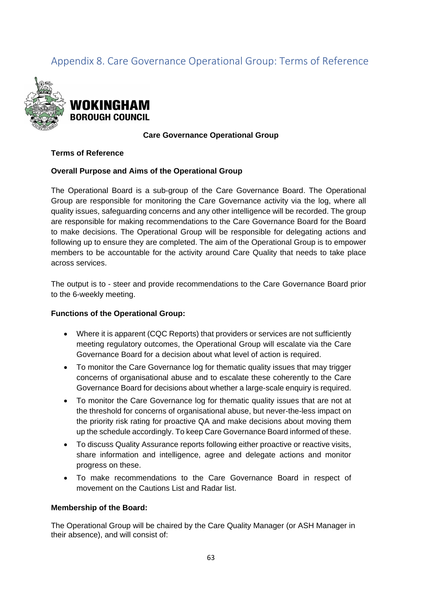# <span id="page-62-0"></span>Appendix 8. Care Governance Operational Group: Terms of Reference



#### **Care Governance Operational Group**

#### **Terms of Reference**

#### **Overall Purpose and Aims of the Operational Group**

The Operational Board is a sub-group of the Care Governance Board. The Operational Group are responsible for monitoring the Care Governance activity via the log, where all quality issues, safeguarding concerns and any other intelligence will be recorded. The group are responsible for making recommendations to the Care Governance Board for the Board to make decisions. The Operational Group will be responsible for delegating actions and following up to ensure they are completed. The aim of the Operational Group is to empower members to be accountable for the activity around Care Quality that needs to take place across services.

The output is to - steer and provide recommendations to the Care Governance Board prior to the 6-weekly meeting.

#### **Functions of the Operational Group:**

- Where it is apparent (CQC Reports) that providers or services are not sufficiently meeting regulatory outcomes, the Operational Group will escalate via the Care Governance Board for a decision about what level of action is required.
- To monitor the Care Governance log for thematic quality issues that may trigger concerns of organisational abuse and to escalate these coherently to the Care Governance Board for decisions about whether a large-scale enquiry is required.
- To monitor the Care Governance log for thematic quality issues that are not at the threshold for concerns of organisational abuse, but never-the-less impact on the priority risk rating for proactive QA and make decisions about moving them up the schedule accordingly. To keep Care Governance Board informed of these.
- To discuss Quality Assurance reports following either proactive or reactive visits, share information and intelligence, agree and delegate actions and monitor progress on these.
- To make recommendations to the Care Governance Board in respect of movement on the Cautions List and Radar list.

#### **Membership of the Board:**

The Operational Group will be chaired by the Care Quality Manager (or ASH Manager in their absence), and will consist of: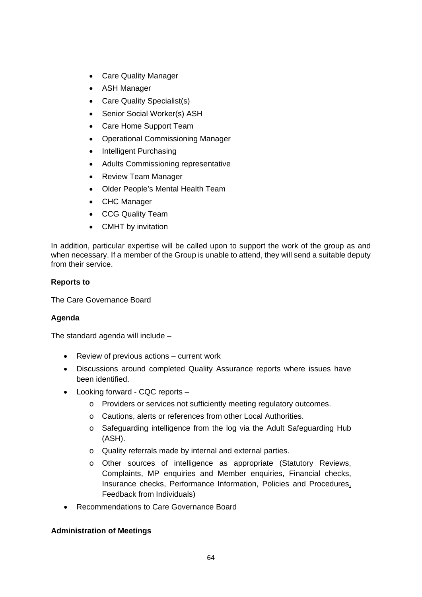- Care Quality Manager
- ASH Manager
- Care Quality Specialist(s)
- Senior Social Worker(s) ASH
- Care Home Support Team
- Operational Commissioning Manager
- Intelligent Purchasing
- Adults Commissioning representative
- Review Team Manager
- Older People's Mental Health Team
- CHC Manager
- CCG Quality Team
- CMHT by invitation

In addition, particular expertise will be called upon to support the work of the group as and when necessary. If a member of the Group is unable to attend, they will send a suitable deputy from their service.

#### **Reports to**

The Care Governance Board

#### **Agenda**

The standard agenda will include –

- Review of previous actions current work
- Discussions around completed Quality Assurance reports where issues have been identified.
- Looking forward CQC reports
	- o Providers or services not sufficiently meeting regulatory outcomes.
	- o Cautions, alerts or references from other Local Authorities.
	- o Safeguarding intelligence from the log via the Adult Safeguarding Hub (ASH).
	- o Quality referrals made by internal and external parties.
	- o Other sources of intelligence as appropriate (Statutory Reviews, Complaints, MP enquiries and Member enquiries, Financial checks, Insurance checks, Performance Information, Policies and Procedures, Feedback from Individuals)
- Recommendations to Care Governance Board

#### **Administration of Meetings**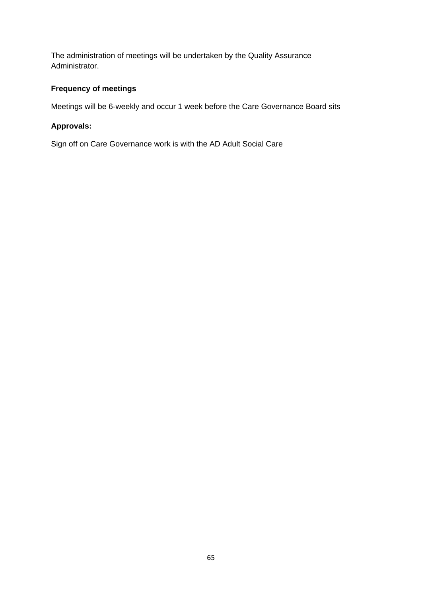The administration of meetings will be undertaken by the Quality Assurance Administrator.

## **Frequency of meetings**

Meetings will be 6-weekly and occur 1 week before the Care Governance Board sits

#### **Approvals:**

Sign off on Care Governance work is with the AD Adult Social Care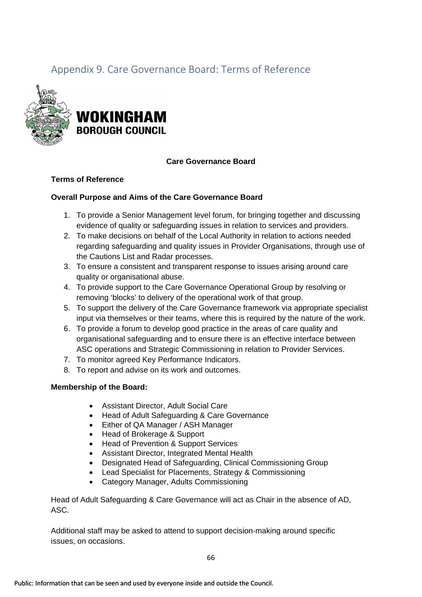# <span id="page-65-0"></span>Appendix 9. Care Governance Board: Terms of Reference



#### **Care Governance Board**

#### **Terms of Reference**

#### **Overall Purpose and Aims of the Care Governance Board**

- 1. To provide a Senior Management level forum, for bringing together and discussing evidence of quality or safeguarding issues in relation to services and providers.
- 2. To make decisions on behalf of the Local Authority in relation to actions needed regarding safeguarding and quality issues in Provider Organisations, through use of the Cautions List and Radar processes.
- 3. To ensure a consistent and transparent response to issues arising around care quality or organisational abuse.
- 4. To provide support to the Care Governance Operational Group by resolving or removing 'blocks' to delivery of the operational work of that group.
- 5. To support the delivery of the Care Governance framework via appropriate specialist input via themselves or their teams, where this is required by the nature of the work.
- 6. To provide a forum to develop good practice in the areas of care quality and organisational safeguarding and to ensure there is an effective interface between ASC operations and Strategic Commissioning in relation to Provider Services.
- 7. To monitor agreed Key Performance Indicators.
- 8. To report and advise on its work and outcomes.

#### **Membership of the Board:**

- Assistant Director, Adult Social Care
- Head of Adult Safeguarding & Care Governance
- Either of QA Manager / ASH Manager
- Head of Brokerage & Support
- Head of Prevention & Support Services
- Assistant Director, Integrated Mental Health
- Designated Head of Safeguarding, Clinical Commissioning Group
- Lead Specialist for Placements, Strategy & Commissioning
- Category Manager, Adults Commissioning

Head of Adult Safeguarding & Care Governance will act as Chair in the absence of AD, ASC.

Additional staff may be asked to attend to support decision-making around specific issues, on occasions.